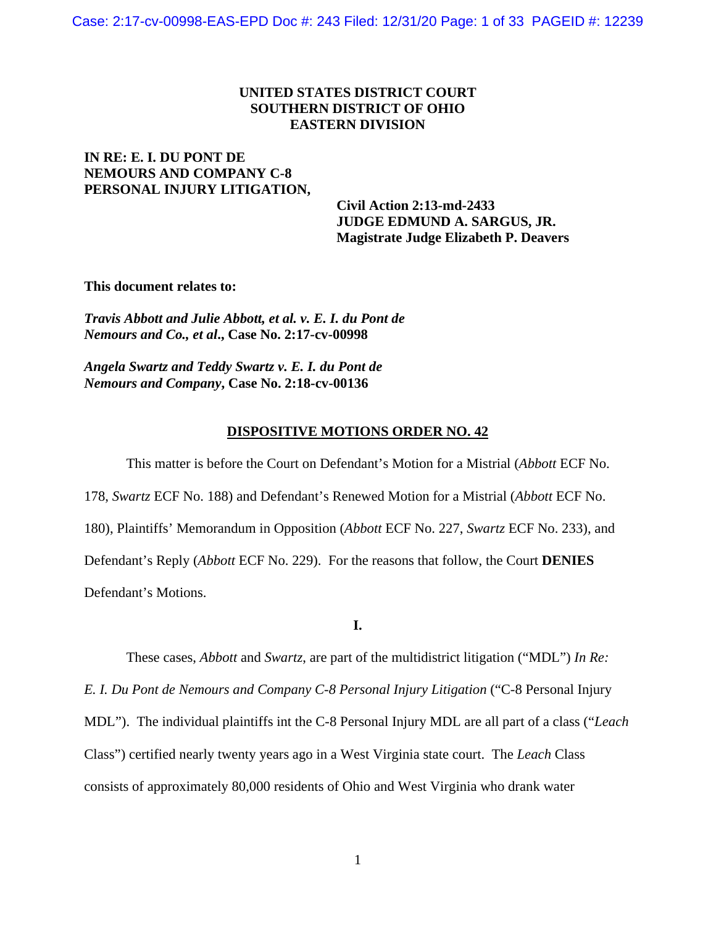## **UNITED STATES DISTRICT COURT SOUTHERN DISTRICT OF OHIO EASTERN DIVISION**

# **IN RE: E. I. DU PONT DE NEMOURS AND COMPANY C-8 PERSONAL INJURY LITIGATION,**

 **Civil Action 2:13-md-2433 JUDGE EDMUND A. SARGUS, JR. Magistrate Judge Elizabeth P. Deavers**

**This document relates to:** 

*Travis Abbott and Julie Abbott, et al. v. E. I. du Pont de Nemours and Co., et al***., Case No. 2:17-cv-00998**

*Angela Swartz and Teddy Swartz v. E. I. du Pont de Nemours and Company***, Case No. 2:18-cv-00136**

## **DISPOSITIVE MOTIONS ORDER NO. 42**

This matter is before the Court on Defendant's Motion for a Mistrial (*Abbott* ECF No. 178, *Swartz* ECF No. 188) and Defendant's Renewed Motion for a Mistrial (*Abbott* ECF No. 180), Plaintiffs' Memorandum in Opposition (*Abbott* ECF No. 227, *Swartz* ECF No. 233), and Defendant's Reply (*Abbott* ECF No. 229). For the reasons that follow, the Court **DENIES** Defendant's Motions.

## **I.**

These cases, *Abbott* and *Swartz*, are part of the multidistrict litigation ("MDL") *In Re: E. I. Du Pont de Nemours and Company C-8 Personal Injury Litigation* ("C-8 Personal Injury MDL"). The individual plaintiffs int the C-8 Personal Injury MDL are all part of a class ("*Leach* Class") certified nearly twenty years ago in a West Virginia state court. The *Leach* Class consists of approximately 80,000 residents of Ohio and West Virginia who drank water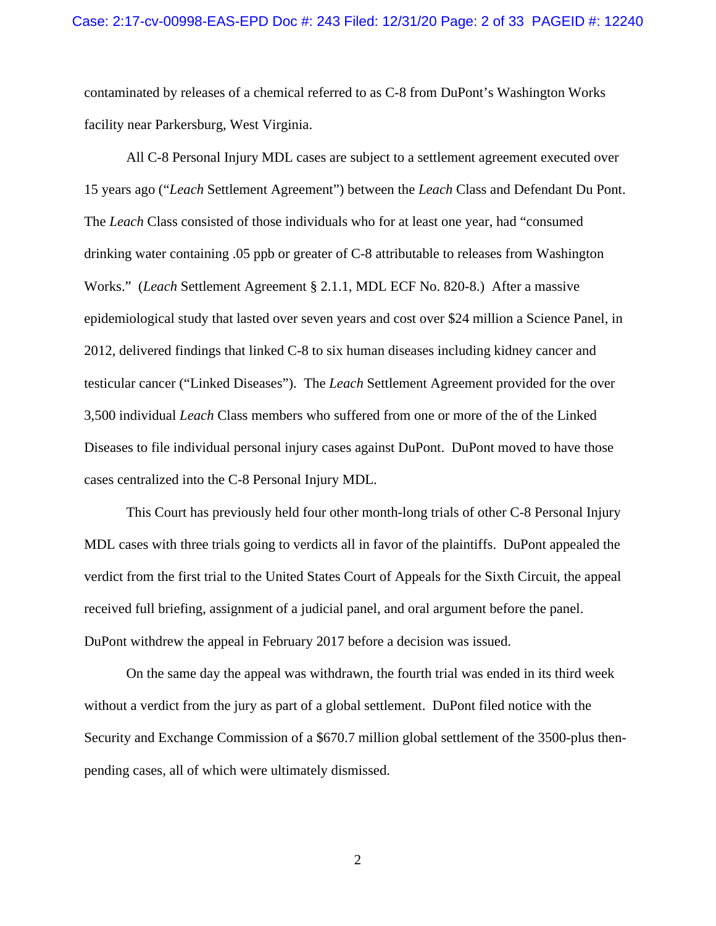contaminated by releases of a chemical referred to as C-8 from DuPont's Washington Works facility near Parkersburg, West Virginia.

All C-8 Personal Injury MDL cases are subject to a settlement agreement executed over 15 years ago ("*Leach* Settlement Agreement") between the *Leach* Class and Defendant Du Pont. The *Leach* Class consisted of those individuals who for at least one year, had "consumed drinking water containing .05 ppb or greater of C-8 attributable to releases from Washington Works." (*Leach* Settlement Agreement § 2.1.1, MDL ECF No. 820-8.) After a massive epidemiological study that lasted over seven years and cost over \$24 million a Science Panel, in 2012, delivered findings that linked C-8 to six human diseases including kidney cancer and testicular cancer ("Linked Diseases"). The *Leach* Settlement Agreement provided for the over 3,500 individual *Leach* Class members who suffered from one or more of the of the Linked Diseases to file individual personal injury cases against DuPont. DuPont moved to have those cases centralized into the C-8 Personal Injury MDL.

This Court has previously held four other month-long trials of other C-8 Personal Injury MDL cases with three trials going to verdicts all in favor of the plaintiffs. DuPont appealed the verdict from the first trial to the United States Court of Appeals for the Sixth Circuit, the appeal received full briefing, assignment of a judicial panel, and oral argument before the panel. DuPont withdrew the appeal in February 2017 before a decision was issued.

On the same day the appeal was withdrawn, the fourth trial was ended in its third week without a verdict from the jury as part of a global settlement. DuPont filed notice with the Security and Exchange Commission of a \$670.7 million global settlement of the 3500-plus thenpending cases, all of which were ultimately dismissed.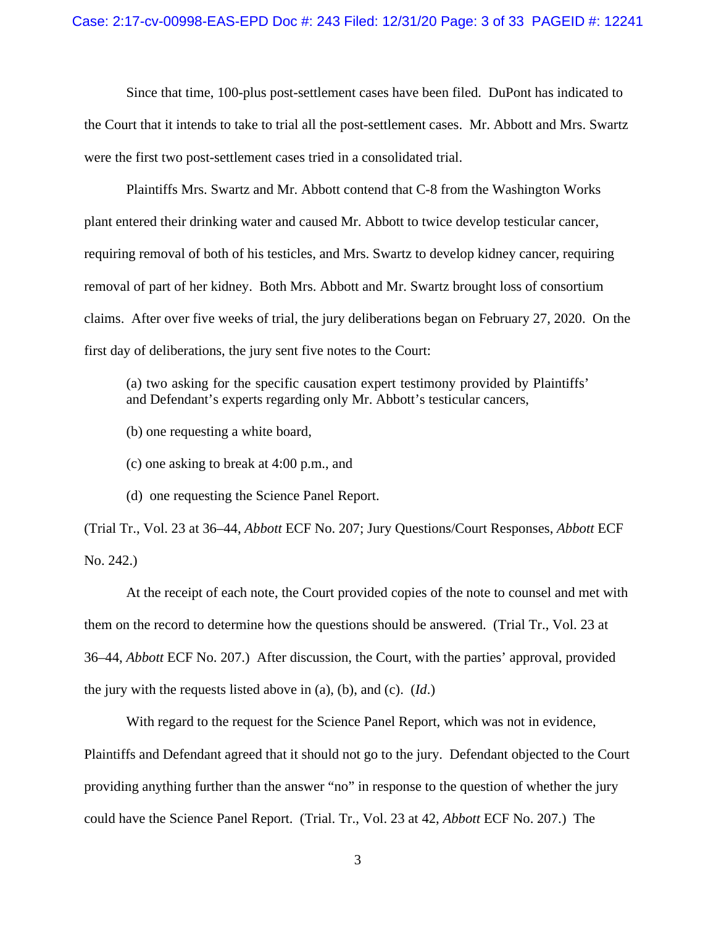Since that time, 100-plus post-settlement cases have been filed. DuPont has indicated to the Court that it intends to take to trial all the post-settlement cases. Mr. Abbott and Mrs. Swartz were the first two post-settlement cases tried in a consolidated trial.

Plaintiffs Mrs. Swartz and Mr. Abbott contend that C-8 from the Washington Works plant entered their drinking water and caused Mr. Abbott to twice develop testicular cancer, requiring removal of both of his testicles, and Mrs. Swartz to develop kidney cancer, requiring removal of part of her kidney. Both Mrs. Abbott and Mr. Swartz brought loss of consortium claims. After over five weeks of trial, the jury deliberations began on February 27, 2020. On the first day of deliberations, the jury sent five notes to the Court:

(a) two asking for the specific causation expert testimony provided by Plaintiffs' and Defendant's experts regarding only Mr. Abbott's testicular cancers,

(b) one requesting a white board,

(c) one asking to break at 4:00 p.m., and

(d) one requesting the Science Panel Report.

(Trial Tr., Vol. 23 at 36–44, *Abbott* ECF No. 207; Jury Questions/Court Responses, *Abbott* ECF No. 242.)

At the receipt of each note, the Court provided copies of the note to counsel and met with them on the record to determine how the questions should be answered. (Trial Tr., Vol. 23 at 36–44, *Abbott* ECF No. 207.) After discussion, the Court, with the parties' approval, provided the jury with the requests listed above in (a), (b), and (c). (*Id*.)

With regard to the request for the Science Panel Report, which was not in evidence, Plaintiffs and Defendant agreed that it should not go to the jury. Defendant objected to the Court providing anything further than the answer "no" in response to the question of whether the jury could have the Science Panel Report. (Trial. Tr., Vol. 23 at 42, *Abbott* ECF No. 207.) The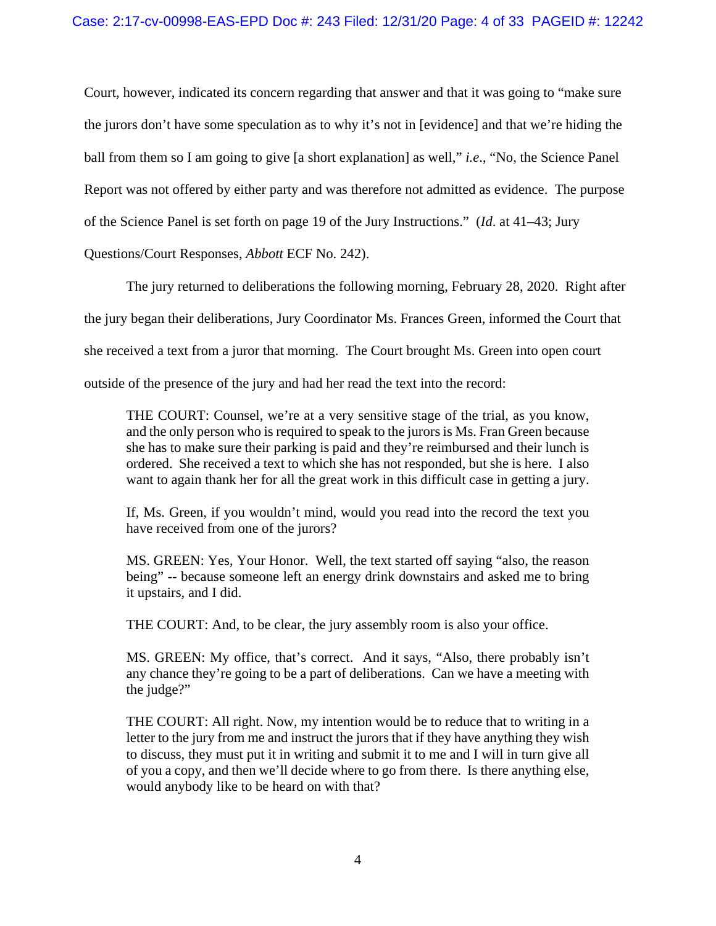Court, however, indicated its concern regarding that answer and that it was going to "make sure the jurors don't have some speculation as to why it's not in [evidence] and that we're hiding the ball from them so I am going to give [a short explanation] as well," *i.e*., "No, the Science Panel Report was not offered by either party and was therefore not admitted as evidence. The purpose of the Science Panel is set forth on page 19 of the Jury Instructions." (*Id*. at 41–43; Jury

Questions/Court Responses, *Abbott* ECF No. 242).

The jury returned to deliberations the following morning, February 28, 2020. Right after the jury began their deliberations, Jury Coordinator Ms. Frances Green, informed the Court that she received a text from a juror that morning. The Court brought Ms. Green into open court outside of the presence of the jury and had her read the text into the record:

THE COURT: Counsel, we're at a very sensitive stage of the trial, as you know, and the only person who is required to speak to the jurors is Ms. Fran Green because she has to make sure their parking is paid and they're reimbursed and their lunch is ordered. She received a text to which she has not responded, but she is here. I also want to again thank her for all the great work in this difficult case in getting a jury.

If, Ms. Green, if you wouldn't mind, would you read into the record the text you have received from one of the jurors?

MS. GREEN: Yes, Your Honor. Well, the text started off saying "also, the reason being" -- because someone left an energy drink downstairs and asked me to bring it upstairs, and I did.

THE COURT: And, to be clear, the jury assembly room is also your office.

MS. GREEN: My office, that's correct. And it says, "Also, there probably isn't any chance they're going to be a part of deliberations. Can we have a meeting with the judge?"

THE COURT: All right. Now, my intention would be to reduce that to writing in a letter to the jury from me and instruct the jurors that if they have anything they wish to discuss, they must put it in writing and submit it to me and I will in turn give all of you a copy, and then we'll decide where to go from there. Is there anything else, would anybody like to be heard on with that?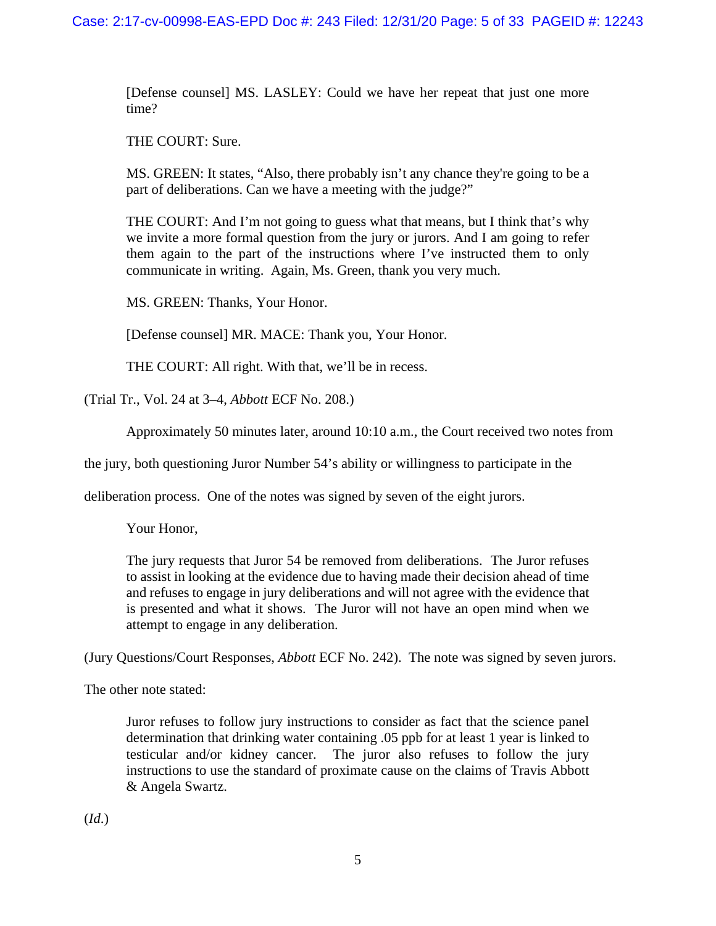[Defense counsel] MS. LASLEY: Could we have her repeat that just one more time?

THE COURT: Sure.

MS. GREEN: It states, "Also, there probably isn't any chance they're going to be a part of deliberations. Can we have a meeting with the judge?"

THE COURT: And I'm not going to guess what that means, but I think that's why we invite a more formal question from the jury or jurors. And I am going to refer them again to the part of the instructions where I've instructed them to only communicate in writing. Again, Ms. Green, thank you very much.

MS. GREEN: Thanks, Your Honor.

[Defense counsel] MR. MACE: Thank you, Your Honor.

THE COURT: All right. With that, we'll be in recess.

(Trial Tr., Vol. 24 at 3–4, *Abbott* ECF No. 208.)

Approximately 50 minutes later, around 10:10 a.m., the Court received two notes from

the jury, both questioning Juror Number 54's ability or willingness to participate in the

deliberation process. One of the notes was signed by seven of the eight jurors.

Your Honor,

The jury requests that Juror 54 be removed from deliberations. The Juror refuses to assist in looking at the evidence due to having made their decision ahead of time and refuses to engage in jury deliberations and will not agree with the evidence that is presented and what it shows. The Juror will not have an open mind when we attempt to engage in any deliberation.

(Jury Questions/Court Responses, *Abbott* ECF No. 242). The note was signed by seven jurors.

The other note stated:

Juror refuses to follow jury instructions to consider as fact that the science panel determination that drinking water containing .05 ppb for at least 1 year is linked to testicular and/or kidney cancer. The juror also refuses to follow the jury instructions to use the standard of proximate cause on the claims of Travis Abbott & Angela Swartz.

(*Id*.)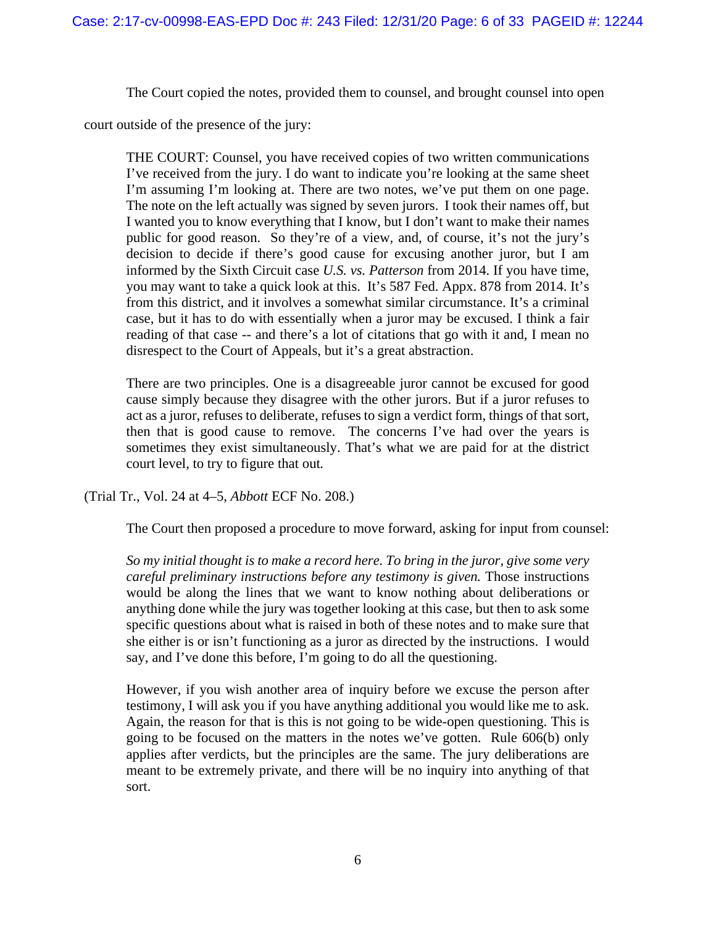The Court copied the notes, provided them to counsel, and brought counsel into open

court outside of the presence of the jury:

THE COURT: Counsel, you have received copies of two written communications I've received from the jury. I do want to indicate you're looking at the same sheet I'm assuming I'm looking at. There are two notes, we've put them on one page. The note on the left actually was signed by seven jurors. I took their names off, but I wanted you to know everything that I know, but I don't want to make their names public for good reason. So they're of a view, and, of course, it's not the jury's decision to decide if there's good cause for excusing another juror, but I am informed by the Sixth Circuit case *U.S. vs. Patterson* from 2014. If you have time, you may want to take a quick look at this. It's 587 Fed. Appx. 878 from 2014. It's from this district, and it involves a somewhat similar circumstance. It's a criminal case, but it has to do with essentially when a juror may be excused. I think a fair reading of that case -- and there's a lot of citations that go with it and, I mean no disrespect to the Court of Appeals, but it's a great abstraction.

There are two principles. One is a disagreeable juror cannot be excused for good cause simply because they disagree with the other jurors. But if a juror refuses to act as a juror, refuses to deliberate, refuses to sign a verdict form, things of that sort, then that is good cause to remove. The concerns I've had over the years is sometimes they exist simultaneously. That's what we are paid for at the district court level, to try to figure that out*.* 

(Trial Tr., Vol. 24 at 4–5, *Abbott* ECF No. 208.)

The Court then proposed a procedure to move forward, asking for input from counsel:

*So my initial thought is to make a record here. To bring in the juror, give some very careful preliminary instructions before any testimony is given.* Those instructions would be along the lines that we want to know nothing about deliberations or anything done while the jury was together looking at this case, but then to ask some specific questions about what is raised in both of these notes and to make sure that she either is or isn't functioning as a juror as directed by the instructions. I would say, and I've done this before, I'm going to do all the questioning.

However, if you wish another area of inquiry before we excuse the person after testimony, I will ask you if you have anything additional you would like me to ask. Again, the reason for that is this is not going to be wide-open questioning. This is going to be focused on the matters in the notes we've gotten. Rule 606(b) only applies after verdicts, but the principles are the same. The jury deliberations are meant to be extremely private, and there will be no inquiry into anything of that sort.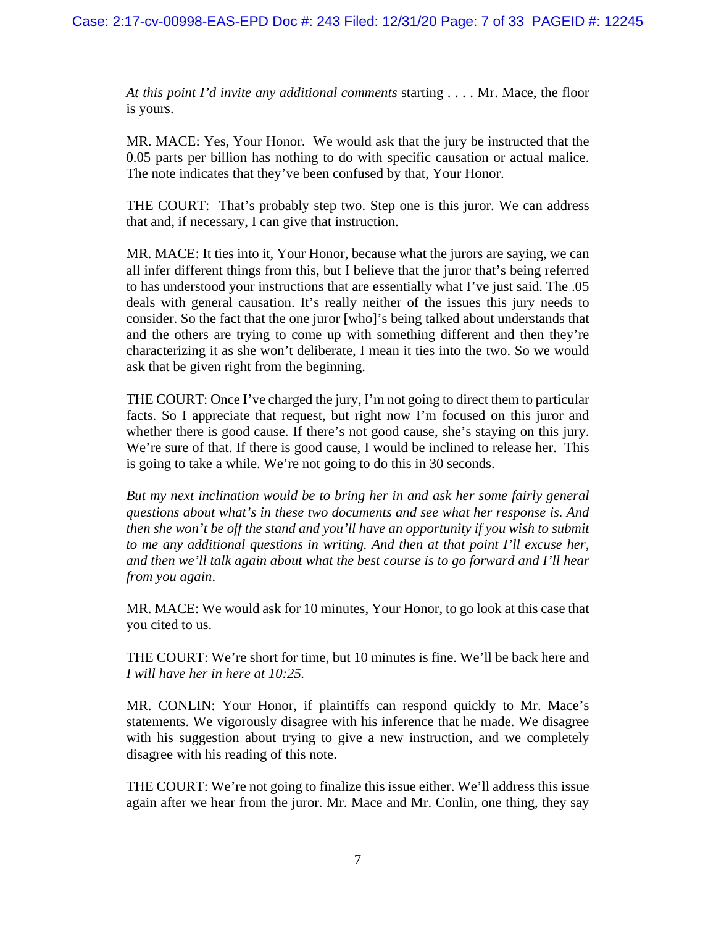*At this point I'd invite any additional comments* starting . . . . Mr. Mace, the floor is yours.

MR. MACE: Yes, Your Honor. We would ask that the jury be instructed that the 0.05 parts per billion has nothing to do with specific causation or actual malice. The note indicates that they've been confused by that, Your Honor.

THE COURT: That's probably step two. Step one is this juror. We can address that and, if necessary, I can give that instruction.

MR. MACE: It ties into it, Your Honor, because what the jurors are saying, we can all infer different things from this, but I believe that the juror that's being referred to has understood your instructions that are essentially what I've just said. The .05 deals with general causation. It's really neither of the issues this jury needs to consider. So the fact that the one juror [who]'s being talked about understands that and the others are trying to come up with something different and then they're characterizing it as she won't deliberate, I mean it ties into the two. So we would ask that be given right from the beginning.

THE COURT: Once I've charged the jury, I'm not going to direct them to particular facts. So I appreciate that request, but right now I'm focused on this juror and whether there is good cause. If there's not good cause, she's staying on this jury. We're sure of that. If there is good cause, I would be inclined to release her. This is going to take a while. We're not going to do this in 30 seconds.

*But my next inclination would be to bring her in and ask her some fairly general questions about what's in these two documents and see what her response is. And then she won't be off the stand and you'll have an opportunity if you wish to submit to me any additional questions in writing. And then at that point I'll excuse her, and then we'll talk again about what the best course is to go forward and I'll hear from you again*.

MR. MACE: We would ask for 10 minutes, Your Honor, to go look at this case that you cited to us.

THE COURT: We're short for time, but 10 minutes is fine. We'll be back here and *I will have her in here at 10:25.*

MR. CONLIN: Your Honor, if plaintiffs can respond quickly to Mr. Mace's statements. We vigorously disagree with his inference that he made. We disagree with his suggestion about trying to give a new instruction, and we completely disagree with his reading of this note.

THE COURT: We're not going to finalize this issue either. We'll address this issue again after we hear from the juror. Mr. Mace and Mr. Conlin, one thing, they say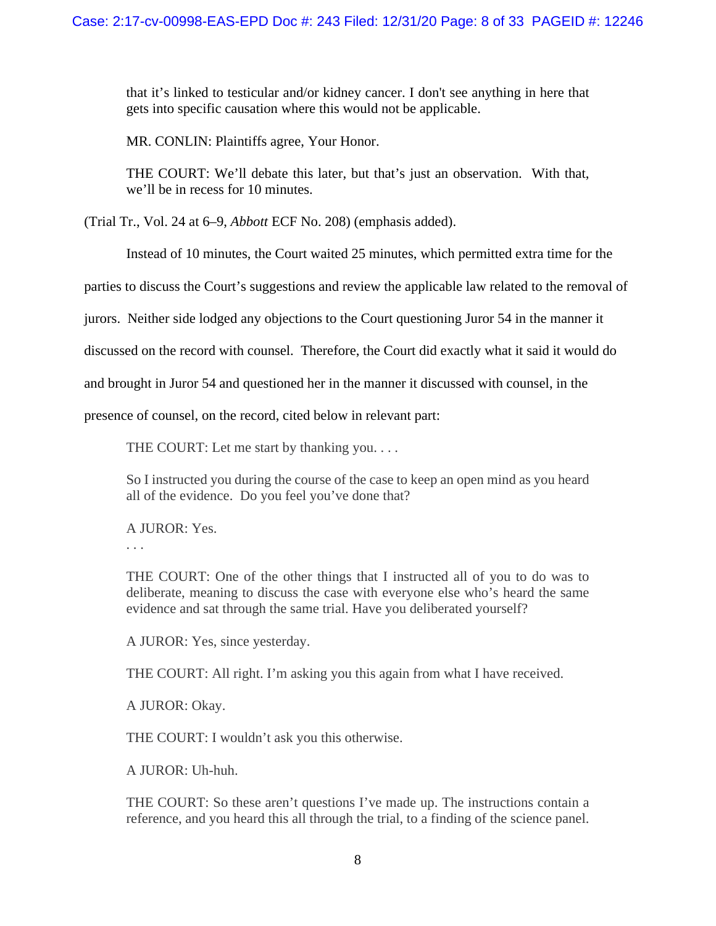that it's linked to testicular and/or kidney cancer. I don't see anything in here that gets into specific causation where this would not be applicable.

MR. CONLIN: Plaintiffs agree, Your Honor.

THE COURT: We'll debate this later, but that's just an observation. With that, we'll be in recess for 10 minutes.

(Trial Tr., Vol. 24 at 6–9, *Abbott* ECF No. 208) (emphasis added).

Instead of 10 minutes, the Court waited 25 minutes, which permitted extra time for the

parties to discuss the Court's suggestions and review the applicable law related to the removal of

jurors. Neither side lodged any objections to the Court questioning Juror 54 in the manner it

discussed on the record with counsel. Therefore, the Court did exactly what it said it would do

and brought in Juror 54 and questioned her in the manner it discussed with counsel, in the

presence of counsel, on the record, cited below in relevant part:

THE COURT: Let me start by thanking you....

So I instructed you during the course of the case to keep an open mind as you heard all of the evidence. Do you feel you've done that?

A JUROR: Yes.

. . .

THE COURT: One of the other things that I instructed all of you to do was to deliberate, meaning to discuss the case with everyone else who's heard the same evidence and sat through the same trial. Have you deliberated yourself?

A JUROR: Yes, since yesterday.

THE COURT: All right. I'm asking you this again from what I have received.

A JUROR: Okay.

THE COURT: I wouldn't ask you this otherwise.

A JUROR: Uh-huh.

THE COURT: So these aren't questions I've made up. The instructions contain a reference, and you heard this all through the trial, to a finding of the science panel.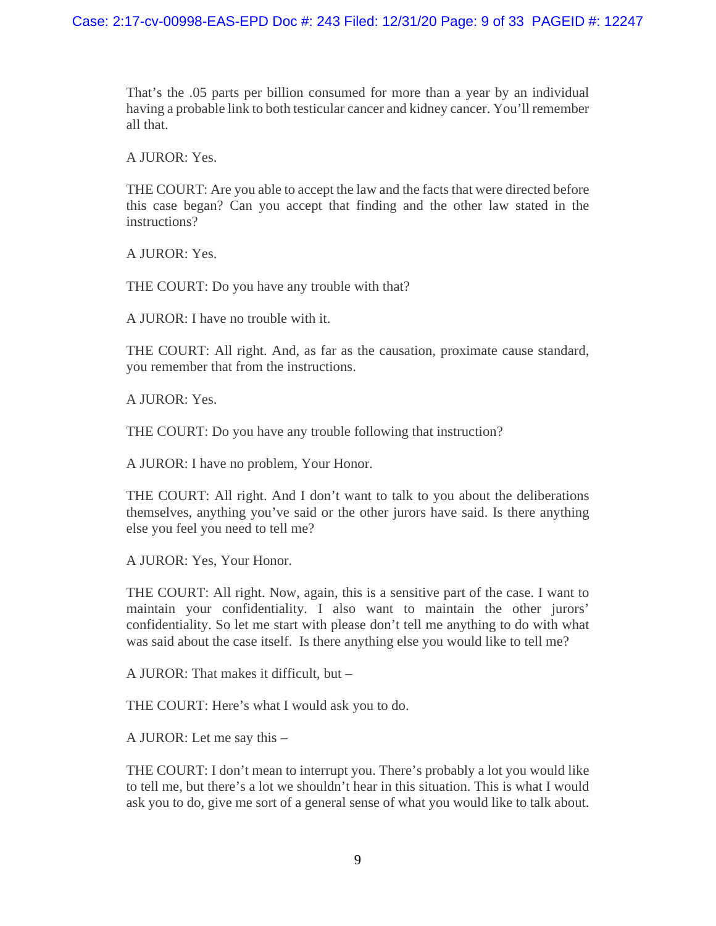That's the .05 parts per billion consumed for more than a year by an individual having a probable link to both testicular cancer and kidney cancer. You'll remember all that.

A JUROR: Yes.

THE COURT: Are you able to accept the law and the facts that were directed before this case began? Can you accept that finding and the other law stated in the instructions?

A JUROR: Yes.

THE COURT: Do you have any trouble with that?

A JUROR: I have no trouble with it.

THE COURT: All right. And, as far as the causation, proximate cause standard, you remember that from the instructions.

A JUROR: Yes.

THE COURT: Do you have any trouble following that instruction?

A JUROR: I have no problem, Your Honor.

THE COURT: All right. And I don't want to talk to you about the deliberations themselves, anything you've said or the other jurors have said. Is there anything else you feel you need to tell me?

A JUROR: Yes, Your Honor.

THE COURT: All right. Now, again, this is a sensitive part of the case. I want to maintain your confidentiality. I also want to maintain the other jurors' confidentiality. So let me start with please don't tell me anything to do with what was said about the case itself. Is there anything else you would like to tell me?

A JUROR: That makes it difficult, but –

THE COURT: Here's what I would ask you to do.

A JUROR: Let me say this –

THE COURT: I don't mean to interrupt you. There's probably a lot you would like to tell me, but there's a lot we shouldn't hear in this situation. This is what I would ask you to do, give me sort of a general sense of what you would like to talk about.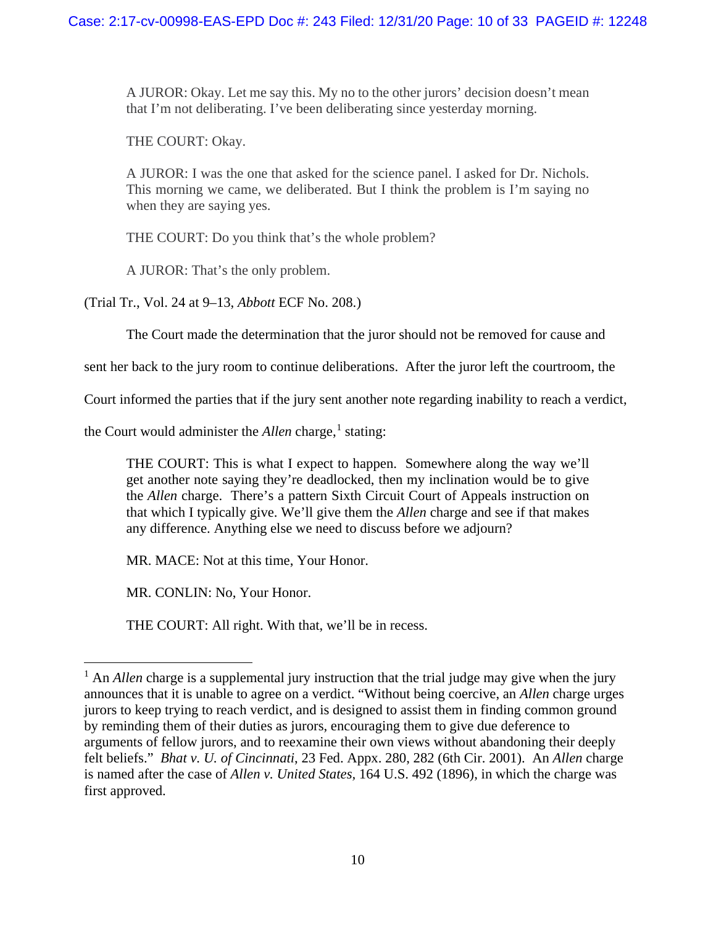A JUROR: Okay. Let me say this. My no to the other jurors' decision doesn't mean that I'm not deliberating. I've been deliberating since yesterday morning.

THE COURT: Okay.

A JUROR: I was the one that asked for the science panel. I asked for Dr. Nichols. This morning we came, we deliberated. But I think the problem is I'm saying no when they are saying yes.

THE COURT: Do you think that's the whole problem?

A JUROR: That's the only problem.

(Trial Tr., Vol. 24 at 9–13, *Abbott* ECF No. 208.)

The Court made the determination that the juror should not be removed for cause and

sent her back to the jury room to continue deliberations. After the juror left the courtroom, the

Court informed the parties that if the jury sent another note regarding inability to reach a verdict,

the Court would administer the *Allen* charge,<sup>[1](#page-9-0)</sup> stating:

THE COURT: This is what I expect to happen. Somewhere along the way we'll get another note saying they're deadlocked, then my inclination would be to give the *Allen* charge. There's a pattern Sixth Circuit Court of Appeals instruction on that which I typically give. We'll give them the *Allen* charge and see if that makes any difference. Anything else we need to discuss before we adjourn?

MR. MACE: Not at this time, Your Honor.

MR. CONLIN: No, Your Honor.

THE COURT: All right. With that, we'll be in recess.

<span id="page-9-0"></span><sup>&</sup>lt;sup>1</sup> An *Allen* charge is a supplemental jury instruction that the trial judge may give when the jury announces that it is unable to agree on a verdict. "Without being coercive, an *Allen* charge urges jurors to keep trying to reach verdict, and is designed to assist them in finding common ground by reminding them of their duties as jurors, encouraging them to give due deference to arguments of fellow jurors, and to reexamine their own views without abandoning their deeply felt beliefs." *Bhat v. U. of Cincinnati*, 23 Fed. Appx. 280, 282 (6th Cir. 2001). An *Allen* charge is named after the case of *Allen v. United States,* 164 U.S. 492 (1896), in which the charge was first approved.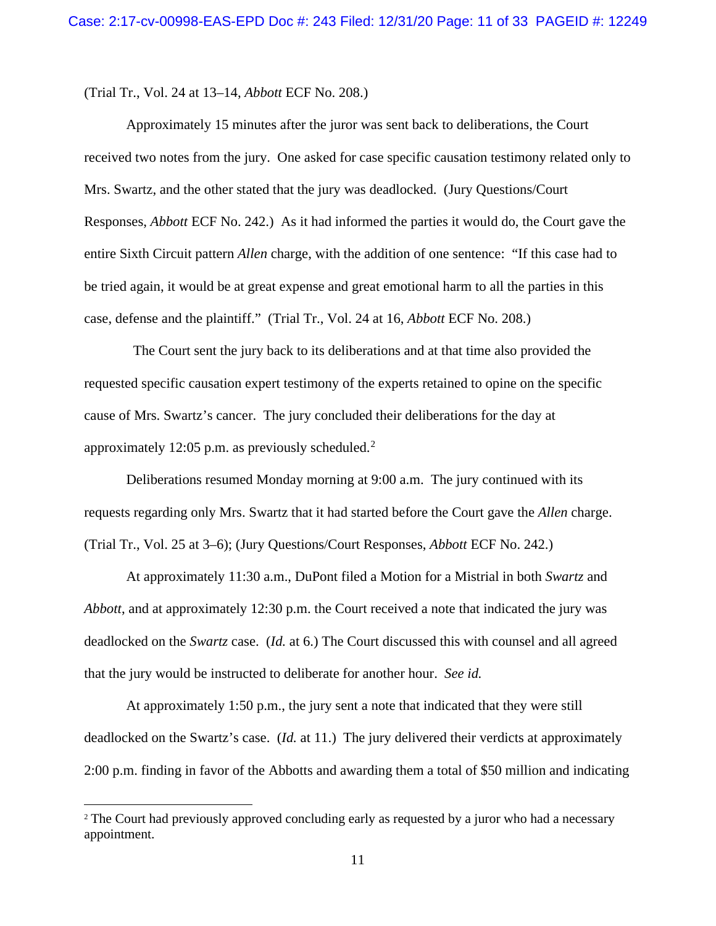(Trial Tr., Vol. 24 at 13–14, *Abbott* ECF No. 208.)

Approximately 15 minutes after the juror was sent back to deliberations, the Court received two notes from the jury. One asked for case specific causation testimony related only to Mrs. Swartz, and the other stated that the jury was deadlocked. (Jury Questions/Court Responses, *Abbott* ECF No. 242.) As it had informed the parties it would do, the Court gave the entire Sixth Circuit pattern *Allen* charge, with the addition of one sentence: "If this case had to be tried again, it would be at great expense and great emotional harm to all the parties in this case, defense and the plaintiff." (Trial Tr., Vol. 24 at 16, *Abbott* ECF No. 208.)

The Court sent the jury back to its deliberations and at that time also provided the requested specific causation expert testimony of the experts retained to opine on the specific cause of Mrs. Swartz's cancer. The jury concluded their deliberations for the day at approximately 1[2](#page-10-0):05 p.m. as previously scheduled. $2$ 

Deliberations resumed Monday morning at 9:00 a.m. The jury continued with its requests regarding only Mrs. Swartz that it had started before the Court gave the *Allen* charge. (Trial Tr., Vol. 25 at 3–6); (Jury Questions/Court Responses, *Abbott* ECF No. 242.)

At approximately 11:30 a.m., DuPont filed a Motion for a Mistrial in both *Swartz* and *Abbott*, and at approximately 12:30 p.m. the Court received a note that indicated the jury was deadlocked on the *Swartz* case. (*Id.* at 6.) The Court discussed this with counsel and all agreed that the jury would be instructed to deliberate for another hour. *See id.*

At approximately 1:50 p.m., the jury sent a note that indicated that they were still deadlocked on the Swartz's case. (*Id.* at 11.) The jury delivered their verdicts at approximately 2:00 p.m. finding in favor of the Abbotts and awarding them a total of \$50 million and indicating

<span id="page-10-0"></span><sup>&</sup>lt;sup>2</sup> The Court had previously approved concluding early as requested by a juror who had a necessary appointment.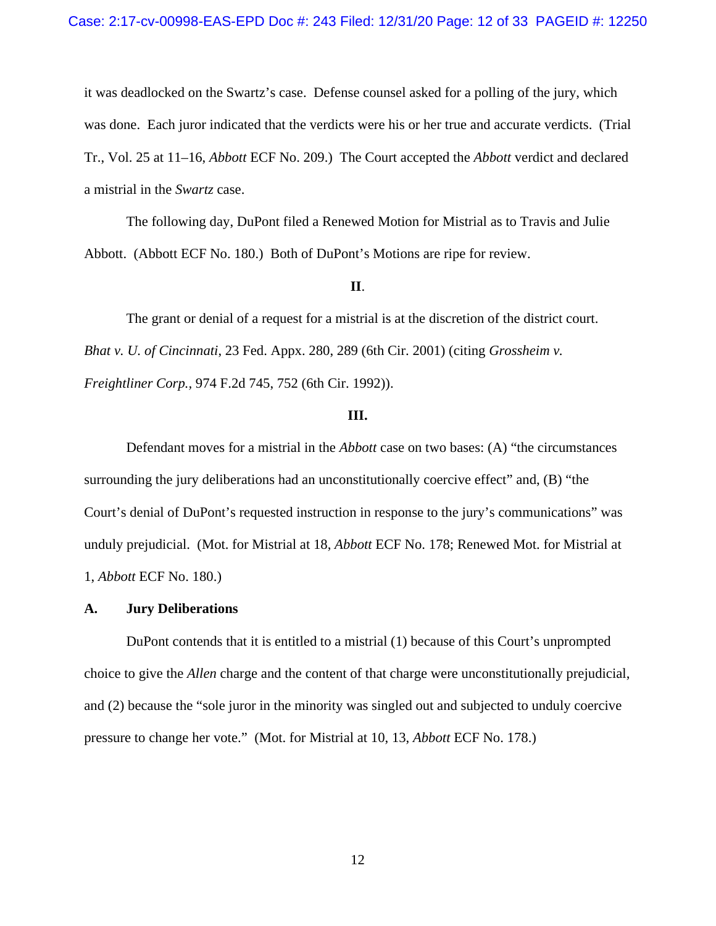it was deadlocked on the Swartz's case. Defense counsel asked for a polling of the jury, which was done. Each juror indicated that the verdicts were his or her true and accurate verdicts. (Trial Tr., Vol. 25 at 11–16, *Abbott* ECF No. 209.) The Court accepted the *Abbott* verdict and declared a mistrial in the *Swartz* case.

The following day, DuPont filed a Renewed Motion for Mistrial as to Travis and Julie Abbott. (Abbott ECF No. 180.) Both of DuPont's Motions are ripe for review.

#### **II**.

The grant or denial of a request for a mistrial is at the discretion of the district court. *Bhat v. U. of Cincinnati*, 23 Fed. Appx. 280, 289 (6th Cir. 2001) (citing *Grossheim v. Freightliner Corp.,* 974 F.2d 745, 752 (6th Cir. 1992)).

#### **III.**

Defendant moves for a mistrial in the *Abbott* case on two bases: (A) "the circumstances surrounding the jury deliberations had an unconstitutionally coercive effect" and, (B) "the Court's denial of DuPont's requested instruction in response to the jury's communications" was unduly prejudicial. (Mot. for Mistrial at 18, *Abbott* ECF No. 178; Renewed Mot. for Mistrial at 1, *Abbott* ECF No. 180.)

#### **A. Jury Deliberations**

DuPont contends that it is entitled to a mistrial (1) because of this Court's unprompted choice to give the *Allen* charge and the content of that charge were unconstitutionally prejudicial, and (2) because the "sole juror in the minority was singled out and subjected to unduly coercive pressure to change her vote." (Mot. for Mistrial at 10, 13, *Abbott* ECF No. 178.)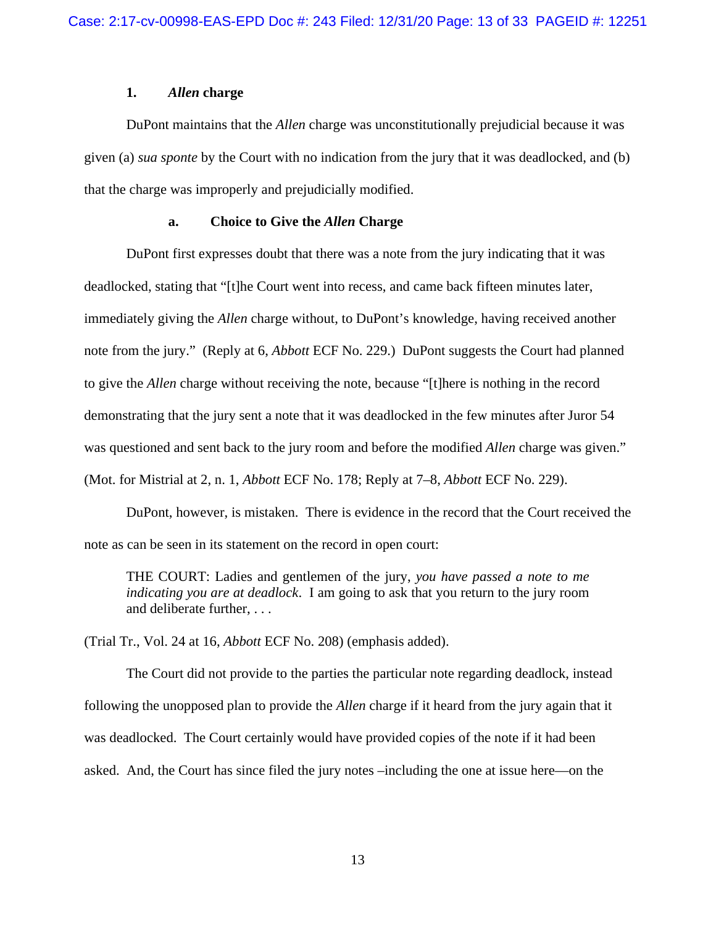## **1.** *Allen* **charge**

DuPont maintains that the *Allen* charge was unconstitutionally prejudicial because it was given (a) *sua sponte* by the Court with no indication from the jury that it was deadlocked, and (b) that the charge was improperly and prejudicially modified.

#### **a. Choice to Give the** *Allen* **Charge**

DuPont first expresses doubt that there was a note from the jury indicating that it was deadlocked, stating that "[t]he Court went into recess, and came back fifteen minutes later, immediately giving the *Allen* charge without, to DuPont's knowledge, having received another note from the jury." (Reply at 6, *Abbott* ECF No. 229.) DuPont suggests the Court had planned to give the *Allen* charge without receiving the note, because "[t]here is nothing in the record demonstrating that the jury sent a note that it was deadlocked in the few minutes after Juror 54 was questioned and sent back to the jury room and before the modified *Allen* charge was given." (Mot. for Mistrial at 2, n. 1, *Abbott* ECF No. 178; Reply at 7–8, *Abbott* ECF No. 229).

DuPont, however, is mistaken. There is evidence in the record that the Court received the note as can be seen in its statement on the record in open court:

THE COURT: Ladies and gentlemen of the jury, *you have passed a note to me indicating you are at deadlock*. I am going to ask that you return to the jury room and deliberate further, . . .

(Trial Tr., Vol. 24 at 16, *Abbott* ECF No. 208) (emphasis added).

The Court did not provide to the parties the particular note regarding deadlock, instead following the unopposed plan to provide the *Allen* charge if it heard from the jury again that it was deadlocked. The Court certainly would have provided copies of the note if it had been asked. And, the Court has since filed the jury notes –including the one at issue here—on the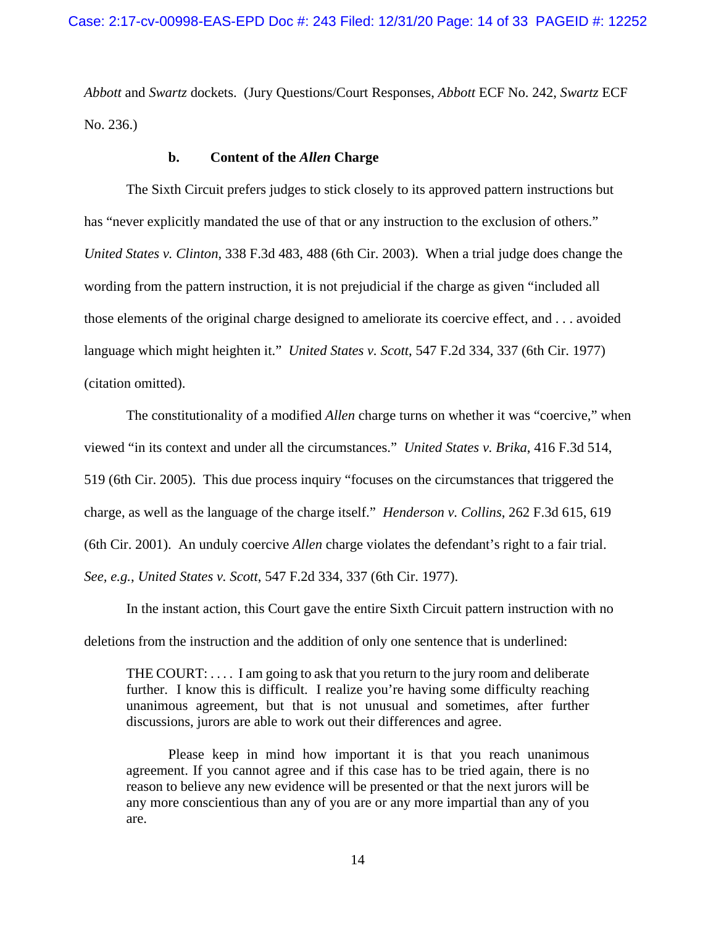*Abbott* and *Swartz* dockets. (Jury Questions/Court Responses, *Abbott* ECF No. 242, *Swartz* ECF No. 236.)

## **b. Content of the** *Allen* **Charge**

The Sixth Circuit prefers judges to stick closely to its approved pattern instructions but has "never explicitly mandated the use of that or any instruction to the exclusion of others." *United States v. Clinton*, 338 F.3d 483, 488 (6th Cir. 2003). When a trial judge does change the wording from the pattern instruction, it is not prejudicial if the charge as given "included all those elements of the original charge designed to ameliorate its coercive effect, and . . . avoided language which might heighten it." *United States v. Scott*, 547 F.2d 334, 337 (6th Cir. 1977) (citation omitted).

The constitutionality of a modified *Allen* charge turns on whether it was "coercive," when viewed "in its context and under all the circumstances." *United States v. Brika*, 416 F.3d 514, 519 (6th Cir. 2005). This due process inquiry "focuses on the circumstances that triggered the charge, as well as the language of the charge itself." *Henderson v. Collins*, 262 F.3d 615, 619 (6th Cir. 2001). An unduly coercive *Allen* charge violates the defendant's right to a fair trial. *See, e.g.*, *United States v. Scott*, 547 F.2d 334, 337 (6th Cir. 1977).

In the instant action, this Court gave the entire Sixth Circuit pattern instruction with no deletions from the instruction and the addition of only one sentence that is underlined:

THE COURT: . . . . I am going to ask that you return to the jury room and deliberate further. I know this is difficult. I realize you're having some difficulty reaching unanimous agreement, but that is not unusual and sometimes, after further discussions, jurors are able to work out their differences and agree.

Please keep in mind how important it is that you reach unanimous agreement. If you cannot agree and if this case has to be tried again, there is no reason to believe any new evidence will be presented or that the next jurors will be any more conscientious than any of you are or any more impartial than any of you are.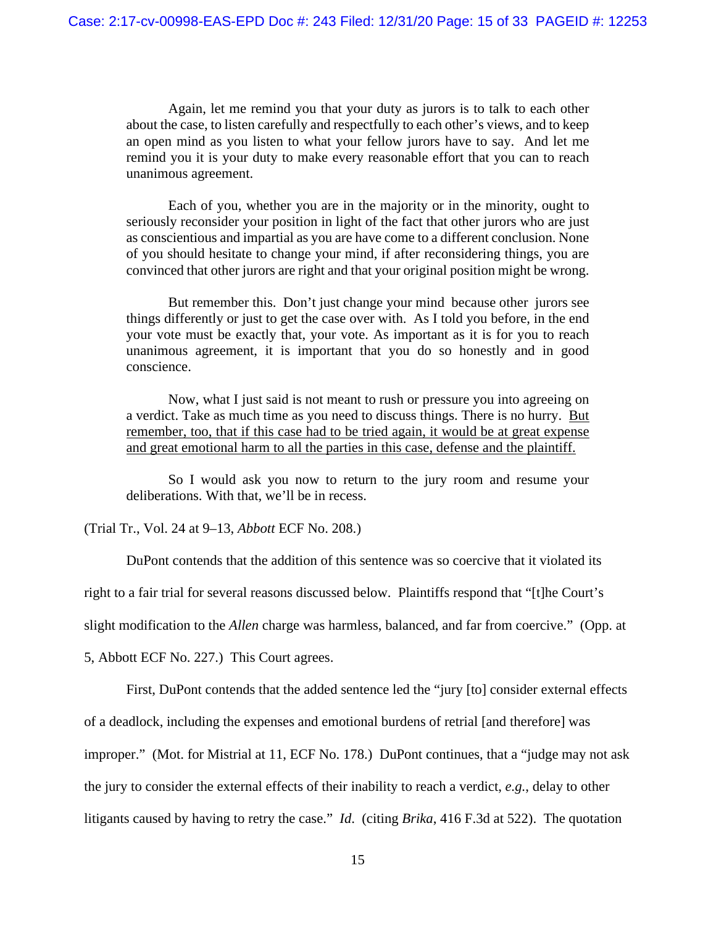Again, let me remind you that your duty as jurors is to talk to each other about the case, to listen carefully and respectfully to each other's views, and to keep an open mind as you listen to what your fellow jurors have to say. And let me remind you it is your duty to make every reasonable effort that you can to reach unanimous agreement.

Each of you, whether you are in the majority or in the minority, ought to seriously reconsider your position in light of the fact that other jurors who are just as conscientious and impartial as you are have come to a different conclusion. None of you should hesitate to change your mind, if after reconsidering things, you are convinced that other jurors are right and that your original position might be wrong.

But remember this. Don't just change your mind because other jurors see things differently or just to get the case over with. As I told you before, in the end your vote must be exactly that, your vote. As important as it is for you to reach unanimous agreement, it is important that you do so honestly and in good conscience.

Now, what I just said is not meant to rush or pressure you into agreeing on a verdict. Take as much time as you need to discuss things. There is no hurry. But remember, too, that if this case had to be tried again, it would be at great expense and great emotional harm to all the parties in this case, defense and the plaintiff.

So I would ask you now to return to the jury room and resume your deliberations. With that, we'll be in recess.

(Trial Tr., Vol. 24 at 9–13, *Abbott* ECF No. 208.)

DuPont contends that the addition of this sentence was so coercive that it violated its

right to a fair trial for several reasons discussed below. Plaintiffs respond that "[t]he Court's

slight modification to the *Allen* charge was harmless, balanced, and far from coercive." (Opp. at

5, Abbott ECF No. 227.) This Court agrees.

First, DuPont contends that the added sentence led the "jury [to] consider external effects

of a deadlock, including the expenses and emotional burdens of retrial [and therefore] was

improper." (Mot. for Mistrial at 11, ECF No. 178.) DuPont continues, that a "judge may not ask

the jury to consider the external effects of their inability to reach a verdict, *e.g.*, delay to other

litigants caused by having to retry the case." *Id*. (citing *Brika*, 416 F.3d at 522). The quotation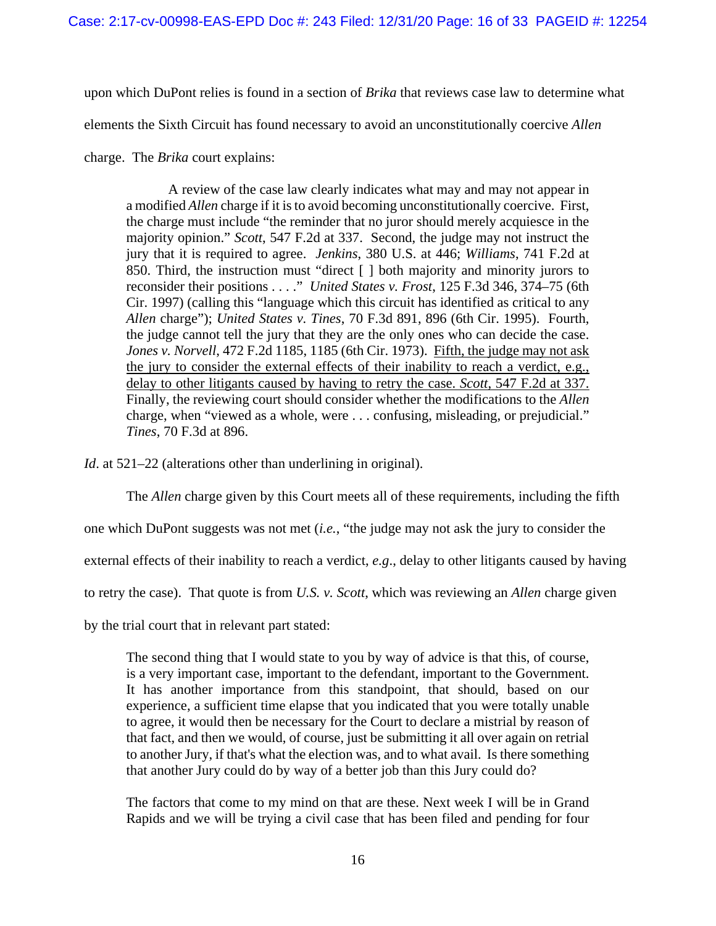upon which DuPont relies is found in a section of *Brika* that reviews case law to determine what

elements the Sixth Circuit has found necessary to avoid an unconstitutionally coercive *Allen*

charge. The *Brika* court explains:

A review of the case law clearly indicates what may and may not appear in a modified *Allen* charge if it is to avoid becoming unconstitutionally coercive. First, the charge must include "the reminder that no juror should merely acquiesce in the majority opinion." *Scott*, 547 F.2d at 337. Second, the judge may not instruct the jury that it is required to agree. *Jenkins*, 380 U.S. at 446; *Williams*, 741 F.2d at 850. Third, the instruction must "direct [ ] both majority and minority jurors to reconsider their positions . . . ." *United States v. Frost*, 125 F.3d 346, 374–75 (6th Cir. 1997) (calling this "language which this circuit has identified as critical to any *Allen* charge"); *United States v. Tines*, 70 F.3d 891, 896 (6th Cir. 1995). Fourth, the judge cannot tell the jury that they are the only ones who can decide the case. *Jones v. Norvell*, 472 F.2d 1185, 1185 (6th Cir. 1973). Fifth, the judge may not ask the jury to consider the external effects of their inability to reach a verdict, e.g., delay to other litigants caused by having to retry the case. *Scott*, 547 F.2d at 337. Finally, the reviewing court should consider whether the modifications to the *Allen* charge, when "viewed as a whole, were . . . confusing, misleading, or prejudicial." *Tines*, 70 F.3d at 896.

*Id*. at 521–22 (alterations other than underlining in original).

The *Allen* charge given by this Court meets all of these requirements, including the fifth

one which DuPont suggests was not met (*i.e.*, "the judge may not ask the jury to consider the

external effects of their inability to reach a verdict, *e.g*., delay to other litigants caused by having

to retry the case). That quote is from *U.S. v. Scott*, which was reviewing an *Allen* charge given

by the trial court that in relevant part stated:

The second thing that I would state to you by way of advice is that this, of course, is a very important case, important to the defendant, important to the Government. It has another importance from this standpoint, that should, based on our experience, a sufficient time elapse that you indicated that you were totally unable to agree, it would then be necessary for the Court to declare a mistrial by reason of that fact, and then we would, of course, just be submitting it all over again on retrial to another Jury, if that's what the election was, and to what avail. Is there something that another Jury could do by way of a better job than this Jury could do?

The factors that come to my mind on that are these. Next week I will be in Grand Rapids and we will be trying a civil case that has been filed and pending for four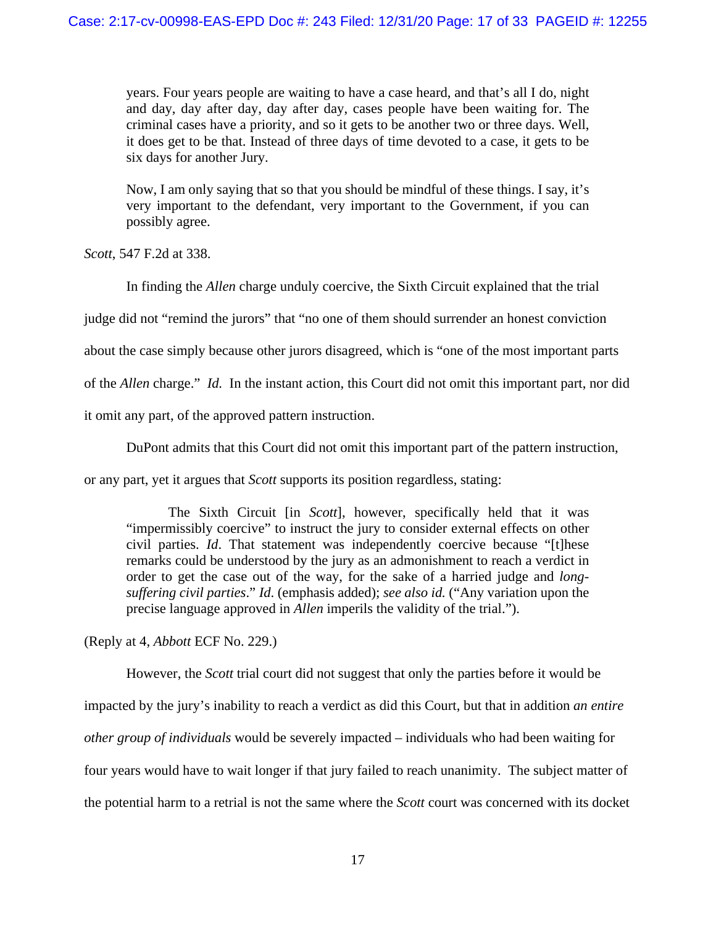years. Four years people are waiting to have a case heard, and that's all I do, night and day, day after day, day after day, cases people have been waiting for. The criminal cases have a priority, and so it gets to be another two or three days. Well, it does get to be that. Instead of three days of time devoted to a case, it gets to be six days for another Jury.

Now, I am only saying that so that you should be mindful of these things. I say, it's very important to the defendant, very important to the Government, if you can possibly agree.

*Scott*, 547 F.2d at 338.

In finding the *Allen* charge unduly coercive, the Sixth Circuit explained that the trial

judge did not "remind the jurors" that "no one of them should surrender an honest conviction

about the case simply because other jurors disagreed, which is "one of the most important parts

of the *Allen* charge." *Id.* In the instant action, this Court did not omit this important part, nor did

it omit any part, of the approved pattern instruction.

DuPont admits that this Court did not omit this important part of the pattern instruction,

or any part, yet it argues that *Scott* supports its position regardless, stating:

The Sixth Circuit [in *Scott*], however, specifically held that it was "impermissibly coercive" to instruct the jury to consider external effects on other civil parties. *Id*. That statement was independently coercive because "[t]hese remarks could be understood by the jury as an admonishment to reach a verdict in order to get the case out of the way, for the sake of a harried judge and *longsuffering civil parties*." *Id*. (emphasis added); *see also id.* ("Any variation upon the precise language approved in *Allen* imperils the validity of the trial.").

(Reply at 4, *Abbott* ECF No. 229.)

However, the *Scott* trial court did not suggest that only the parties before it would be impacted by the jury's inability to reach a verdict as did this Court, but that in addition *an entire other group of individuals* would be severely impacted – individuals who had been waiting for four years would have to wait longer if that jury failed to reach unanimity. The subject matter of the potential harm to a retrial is not the same where the *Scott* court was concerned with its docket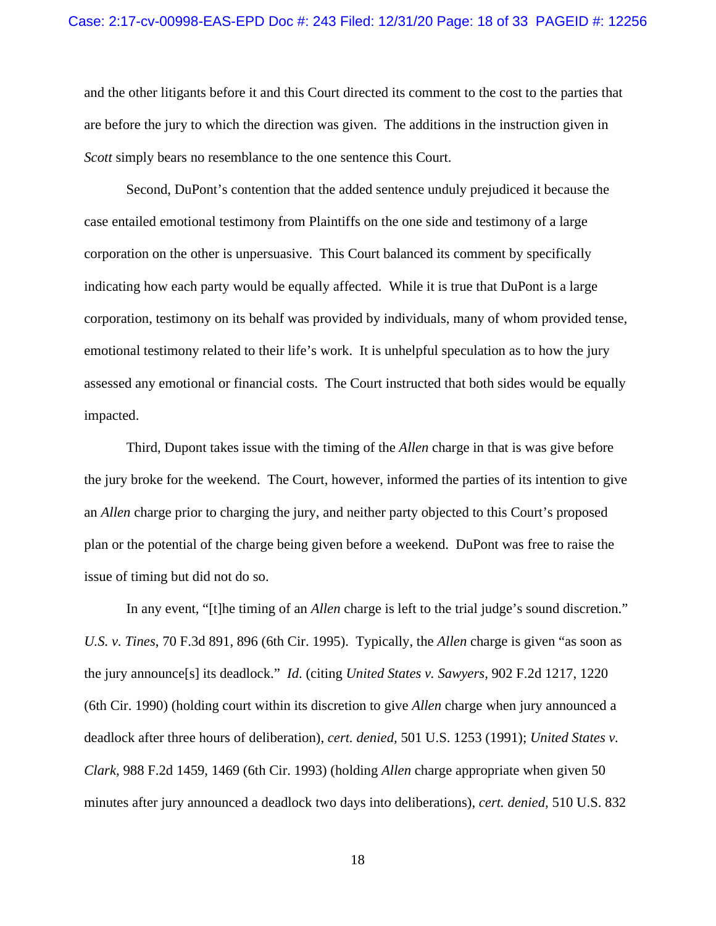and the other litigants before it and this Court directed its comment to the cost to the parties that are before the jury to which the direction was given. The additions in the instruction given in *Scott* simply bears no resemblance to the one sentence this Court.

Second, DuPont's contention that the added sentence unduly prejudiced it because the case entailed emotional testimony from Plaintiffs on the one side and testimony of a large corporation on the other is unpersuasive. This Court balanced its comment by specifically indicating how each party would be equally affected. While it is true that DuPont is a large corporation, testimony on its behalf was provided by individuals, many of whom provided tense, emotional testimony related to their life's work. It is unhelpful speculation as to how the jury assessed any emotional or financial costs. The Court instructed that both sides would be equally impacted.

Third, Dupont takes issue with the timing of the *Allen* charge in that is was give before the jury broke for the weekend. The Court, however, informed the parties of its intention to give an *Allen* charge prior to charging the jury, and neither party objected to this Court's proposed plan or the potential of the charge being given before a weekend. DuPont was free to raise the issue of timing but did not do so.

In any event, "[t]he timing of an *Allen* charge is left to the trial judge's sound discretion." *U.S. v. Tines*, 70 F.3d 891, 896 (6th Cir. 1995). Typically, the *Allen* charge is given "as soon as the jury announce[s] its deadlock." *Id*. (citing *United States v. Sawyers,* 902 F.2d 1217, 1220 (6th Cir. 1990) (holding court within its discretion to give *Allen* charge when jury announced a deadlock after three hours of deliberation), *cert. denied,* 501 U.S. 1253 (1991); *United States v. Clark,* 988 F.2d 1459, 1469 (6th Cir. 1993) (holding *Allen* charge appropriate when given 50 minutes after jury announced a deadlock two days into deliberations), *cert. denied,* 510 U.S. 832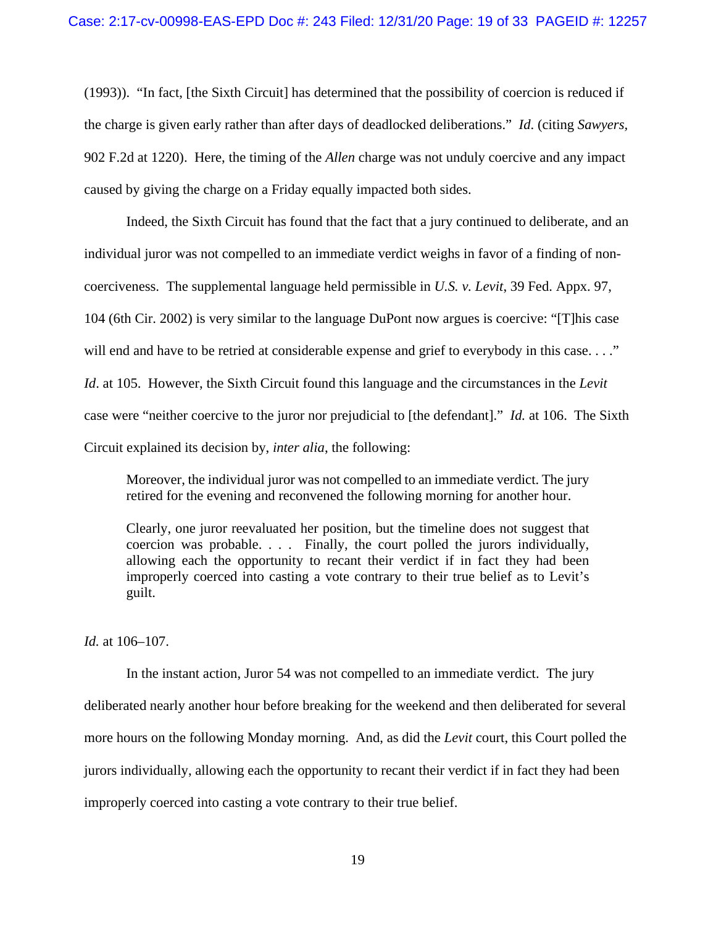(1993)). "In fact, [the Sixth Circuit] has determined that the possibility of coercion is reduced if the charge is given early rather than after days of deadlocked deliberations." *Id*. (citing *Sawyers,* 902 F.2d at 1220). Here, the timing of the *Allen* charge was not unduly coercive and any impact caused by giving the charge on a Friday equally impacted both sides.

Indeed, the Sixth Circuit has found that the fact that a jury continued to deliberate, and an individual juror was not compelled to an immediate verdict weighs in favor of a finding of noncoerciveness. The supplemental language held permissible in *U.S. v. Levit*, 39 Fed. Appx. 97, 104 (6th Cir. 2002) is very similar to the language DuPont now argues is coercive: "[T]his case will end and have to be retried at considerable expense and grief to everybody in this case. . . ." *Id*. at 105. However, the Sixth Circuit found this language and the circumstances in the *Levit*  case were "neither coercive to the juror nor prejudicial to [the defendant]." *Id.* at 106. The Sixth Circuit explained its decision by, *inter alia*, the following:

Moreover, the individual juror was not compelled to an immediate verdict. The jury retired for the evening and reconvened the following morning for another hour.

Clearly, one juror reevaluated her position, but the timeline does not suggest that coercion was probable. . . . Finally, the court polled the jurors individually, allowing each the opportunity to recant their verdict if in fact they had been improperly coerced into casting a vote contrary to their true belief as to Levit's guilt.

*Id.* at 106–107.

In the instant action, Juror 54 was not compelled to an immediate verdict. The jury deliberated nearly another hour before breaking for the weekend and then deliberated for several more hours on the following Monday morning. And, as did the *Levit* court, this Court polled the jurors individually, allowing each the opportunity to recant their verdict if in fact they had been improperly coerced into casting a vote contrary to their true belief.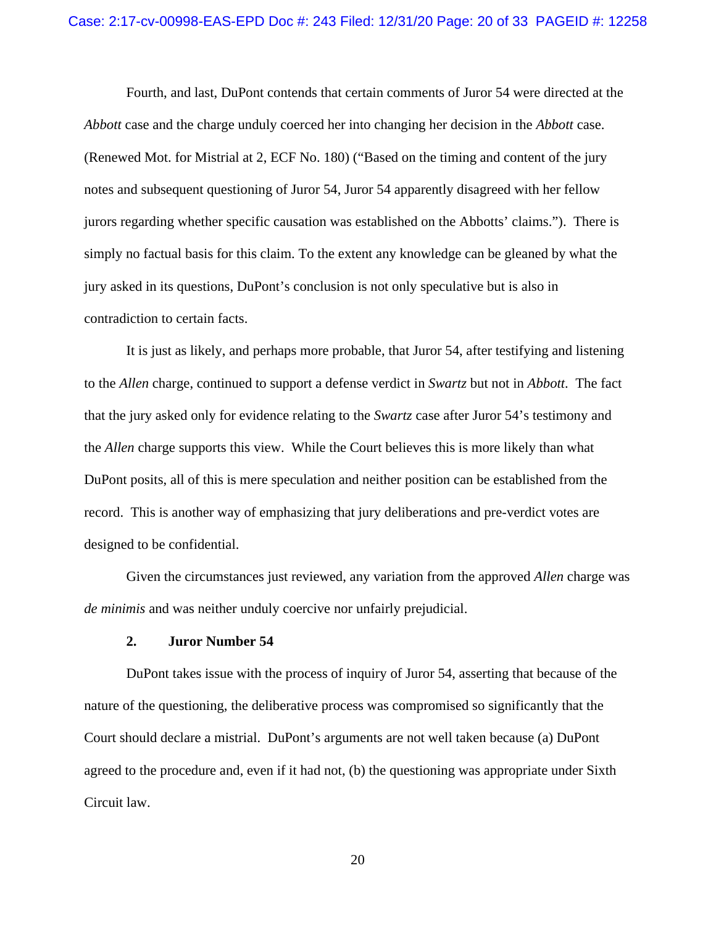Fourth, and last, DuPont contends that certain comments of Juror 54 were directed at the *Abbott* case and the charge unduly coerced her into changing her decision in the *Abbott* case. (Renewed Mot. for Mistrial at 2, ECF No. 180) ("Based on the timing and content of the jury notes and subsequent questioning of Juror 54, Juror 54 apparently disagreed with her fellow jurors regarding whether specific causation was established on the Abbotts' claims."). There is simply no factual basis for this claim. To the extent any knowledge can be gleaned by what the jury asked in its questions, DuPont's conclusion is not only speculative but is also in contradiction to certain facts.

It is just as likely, and perhaps more probable, that Juror 54, after testifying and listening to the *Allen* charge, continued to support a defense verdict in *Swartz* but not in *Abbott*. The fact that the jury asked only for evidence relating to the *Swartz* case after Juror 54's testimony and the *Allen* charge supports this view. While the Court believes this is more likely than what DuPont posits, all of this is mere speculation and neither position can be established from the record. This is another way of emphasizing that jury deliberations and pre-verdict votes are designed to be confidential.

Given the circumstances just reviewed, any variation from the approved *Allen* charge was *de minimis* and was neither unduly coercive nor unfairly prejudicial.

#### **2. Juror Number 54**

DuPont takes issue with the process of inquiry of Juror 54, asserting that because of the nature of the questioning, the deliberative process was compromised so significantly that the Court should declare a mistrial. DuPont's arguments are not well taken because (a) DuPont agreed to the procedure and, even if it had not, (b) the questioning was appropriate under Sixth Circuit law.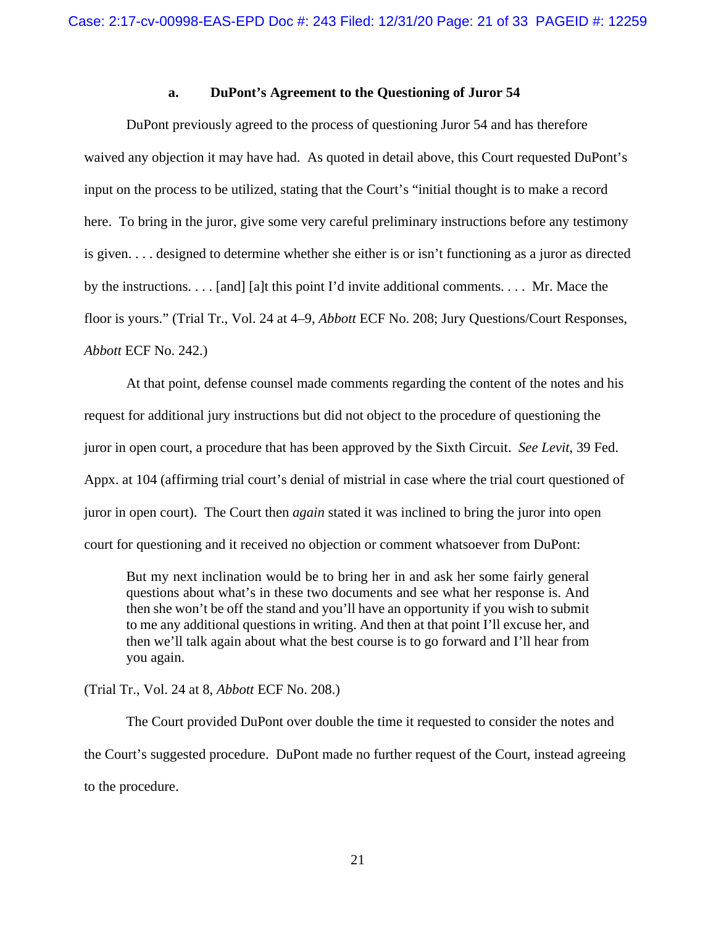## **a. DuPont's Agreement to the Questioning of Juror 54**

DuPont previously agreed to the process of questioning Juror 54 and has therefore waived any objection it may have had. As quoted in detail above, this Court requested DuPont's input on the process to be utilized, stating that the Court's "initial thought is to make a record here. To bring in the juror, give some very careful preliminary instructions before any testimony is given. . . . designed to determine whether she either is or isn't functioning as a juror as directed by the instructions. . . . [and] [a]t this point I'd invite additional comments. . . . Mr. Mace the floor is yours." (Trial Tr., Vol. 24 at 4–9, *Abbott* ECF No. 208; Jury Questions/Court Responses, *Abbott* ECF No. 242.)

At that point, defense counsel made comments regarding the content of the notes and his request for additional jury instructions but did not object to the procedure of questioning the juror in open court, a procedure that has been approved by the Sixth Circuit. *See Levit*, 39 Fed. Appx. at 104 (affirming trial court's denial of mistrial in case where the trial court questioned of juror in open court). The Court then *again* stated it was inclined to bring the juror into open court for questioning and it received no objection or comment whatsoever from DuPont:

But my next inclination would be to bring her in and ask her some fairly general questions about what's in these two documents and see what her response is. And then she won't be off the stand and you'll have an opportunity if you wish to submit to me any additional questions in writing. And then at that point I'll excuse her, and then we'll talk again about what the best course is to go forward and I'll hear from you again.

(Trial Tr., Vol. 24 at 8, *Abbott* ECF No. 208.)

The Court provided DuPont over double the time it requested to consider the notes and the Court's suggested procedure. DuPont made no further request of the Court, instead agreeing to the procedure.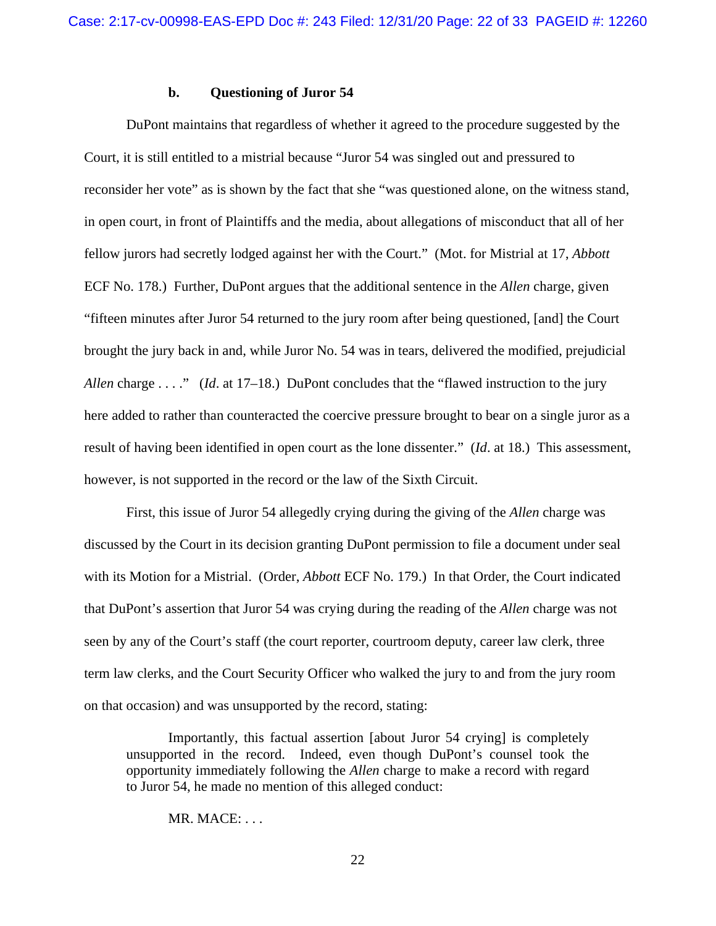## **b. Questioning of Juror 54**

DuPont maintains that regardless of whether it agreed to the procedure suggested by the Court, it is still entitled to a mistrial because "Juror 54 was singled out and pressured to reconsider her vote" as is shown by the fact that she "was questioned alone, on the witness stand, in open court, in front of Plaintiffs and the media, about allegations of misconduct that all of her fellow jurors had secretly lodged against her with the Court." (Mot. for Mistrial at 17, *Abbott* ECF No. 178.) Further, DuPont argues that the additional sentence in the *Allen* charge, given "fifteen minutes after Juror 54 returned to the jury room after being questioned, [and] the Court brought the jury back in and, while Juror No. 54 was in tears, delivered the modified, prejudicial *Allen* charge . . . ." *(Id.* at 17–18.) DuPont concludes that the "flawed instruction to the jury here added to rather than counteracted the coercive pressure brought to bear on a single juror as a result of having been identified in open court as the lone dissenter." (*Id*. at 18.) This assessment, however, is not supported in the record or the law of the Sixth Circuit.

First, this issue of Juror 54 allegedly crying during the giving of the *Allen* charge was discussed by the Court in its decision granting DuPont permission to file a document under seal with its Motion for a Mistrial. (Order, *Abbott* ECF No. 179.) In that Order, the Court indicated that DuPont's assertion that Juror 54 was crying during the reading of the *Allen* charge was not seen by any of the Court's staff (the court reporter, courtroom deputy, career law clerk, three term law clerks, and the Court Security Officer who walked the jury to and from the jury room on that occasion) and was unsupported by the record, stating:

Importantly, this factual assertion [about Juror 54 crying] is completely unsupported in the record. Indeed, even though DuPont's counsel took the opportunity immediately following the *Allen* charge to make a record with regard to Juror 54, he made no mention of this alleged conduct:

MR. MACE: . . .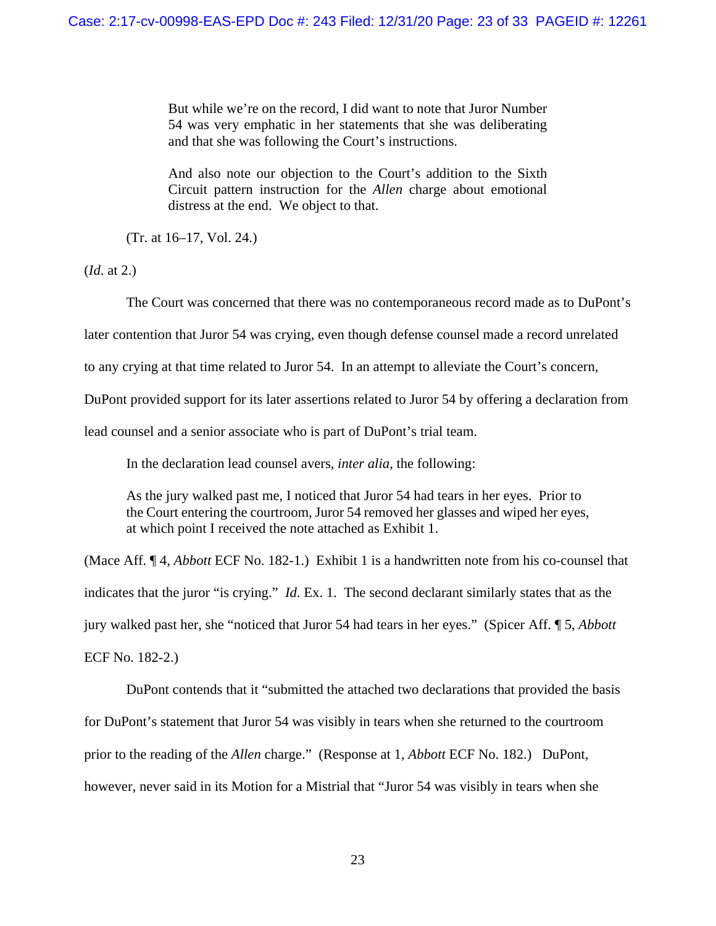But while we're on the record, I did want to note that Juror Number 54 was very emphatic in her statements that she was deliberating and that she was following the Court's instructions.

And also note our objection to the Court's addition to the Sixth Circuit pattern instruction for the *Allen* charge about emotional distress at the end. We object to that.

(Tr. at 16–17, Vol. 24.)

(*Id*. at 2.)

The Court was concerned that there was no contemporaneous record made as to DuPont's

later contention that Juror 54 was crying, even though defense counsel made a record unrelated

to any crying at that time related to Juror 54. In an attempt to alleviate the Court's concern,

DuPont provided support for its later assertions related to Juror 54 by offering a declaration from

lead counsel and a senior associate who is part of DuPont's trial team.

In the declaration lead counsel avers, *inter alia*, the following:

As the jury walked past me, I noticed that Juror 54 had tears in her eyes. Prior to the Court entering the courtroom, Juror 54 removed her glasses and wiped her eyes, at which point I received the note attached as Exhibit 1.

(Mace Aff. ¶ 4, *Abbott* ECF No. 182-1.) Exhibit 1 is a handwritten note from his co-counsel that indicates that the juror "is crying." *Id*. Ex. 1. The second declarant similarly states that as the jury walked past her, she "noticed that Juror 54 had tears in her eyes." (Spicer Aff. ¶ 5, *Abbott* ECF No. 182-2.)

DuPont contends that it "submitted the attached two declarations that provided the basis for DuPont's statement that Juror 54 was visibly in tears when she returned to the courtroom prior to the reading of the *Allen* charge." (Response at 1, *Abbott* ECF No. 182.) DuPont, however, never said in its Motion for a Mistrial that "Juror 54 was visibly in tears when she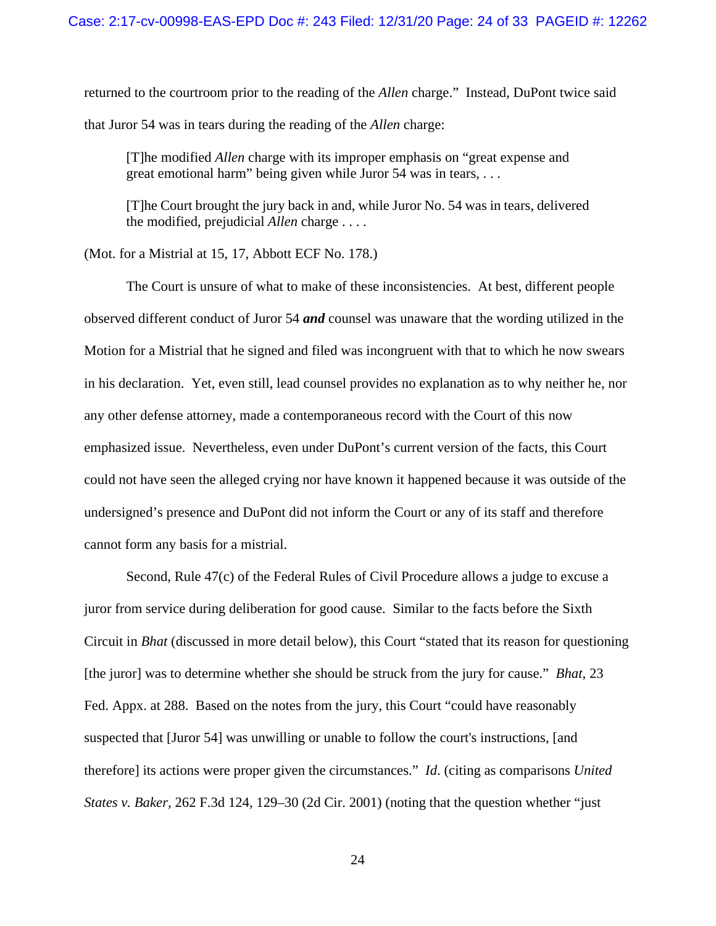returned to the courtroom prior to the reading of the *Allen* charge." Instead, DuPont twice said that Juror 54 was in tears during the reading of the *Allen* charge:

[T]he modified *Allen* charge with its improper emphasis on "great expense and great emotional harm" being given while Juror 54 was in tears, ...

[T]he Court brought the jury back in and, while Juror No. 54 was in tears, delivered the modified, prejudicial *Allen* charge . . . .

(Mot. for a Mistrial at 15, 17, Abbott ECF No. 178.)

The Court is unsure of what to make of these inconsistencies. At best, different people observed different conduct of Juror 54 *and* counsel was unaware that the wording utilized in the Motion for a Mistrial that he signed and filed was incongruent with that to which he now swears in his declaration. Yet, even still, lead counsel provides no explanation as to why neither he, nor any other defense attorney, made a contemporaneous record with the Court of this now emphasized issue. Nevertheless, even under DuPont's current version of the facts, this Court could not have seen the alleged crying nor have known it happened because it was outside of the undersigned's presence and DuPont did not inform the Court or any of its staff and therefore cannot form any basis for a mistrial.

Second, Rule 47(c) of the Federal Rules of Civil Procedure allows a judge to excuse a juror from service during deliberation for good cause. Similar to the facts before the Sixth Circuit in *Bhat* (discussed in more detail below), this Court "stated that its reason for questioning [the juror] was to determine whether she should be struck from the jury for cause." *Bhat*, 23 Fed. Appx. at 288. Based on the notes from the jury, this Court "could have reasonably suspected that [Juror 54] was unwilling or unable to follow the court's instructions, [and therefore] its actions were proper given the circumstances." *Id*. (citing as comparisons *United States v. Baker,* 262 F.3d 124, 129–30 (2d Cir. 2001) (noting that the question whether "just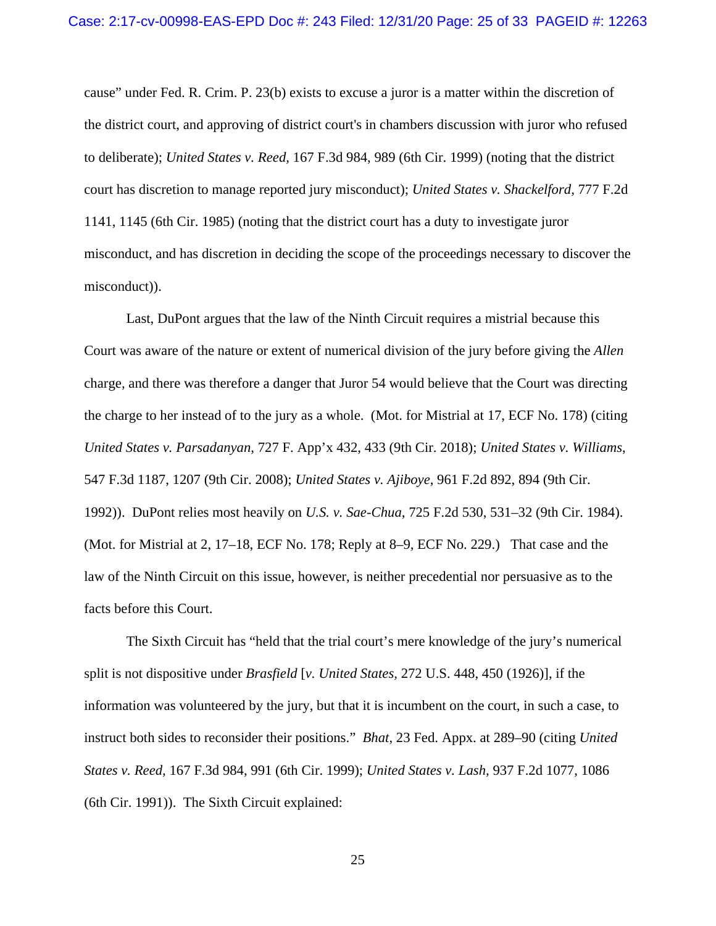cause" under Fed. R. Crim. P. 23(b) exists to excuse a juror is a matter within the discretion of the district court, and approving of district court's in chambers discussion with juror who refused to deliberate); *United States v. Reed,* 167 F.3d 984, 989 (6th Cir. 1999) (noting that the district court has discretion to manage reported jury misconduct); *United States v. Shackelford,* 777 F.2d 1141, 1145 (6th Cir. 1985) (noting that the district court has a duty to investigate juror misconduct, and has discretion in deciding the scope of the proceedings necessary to discover the misconduct)).

Last, DuPont argues that the law of the Ninth Circuit requires a mistrial because this Court was aware of the nature or extent of numerical division of the jury before giving the *Allen* charge, and there was therefore a danger that Juror 54 would believe that the Court was directing the charge to her instead of to the jury as a whole. (Mot. for Mistrial at 17, ECF No. 178) (citing *United States v. Parsadanyan*, 727 F. App'x 432, 433 (9th Cir. 2018); *United States v. Williams*, 547 F.3d 1187, 1207 (9th Cir. 2008); *United States v. Ajiboye*, 961 F.2d 892, 894 (9th Cir. 1992)). DuPont relies most heavily on *U.S. v. Sae-Chua*, 725 F.2d 530, 531–32 (9th Cir. 1984). (Mot. for Mistrial at 2, 17–18, ECF No. 178; Reply at 8–9, ECF No. 229.) That case and the law of the Ninth Circuit on this issue, however, is neither precedential nor persuasive as to the facts before this Court.

The Sixth Circuit has "held that the trial court's mere knowledge of the jury's numerical split is not dispositive under *Brasfield* [*v. United States,* 272 U.S. 448, 450 (1926)], if the information was volunteered by the jury, but that it is incumbent on the court, in such a case, to instruct both sides to reconsider their positions." *Bhat*, 23 Fed. Appx. at 289–90 (citing *United States v. Reed,* 167 F.3d 984, 991 (6th Cir. 1999); *United States v. Lash,* 937 F.2d 1077, 1086 (6th Cir. 1991)). The Sixth Circuit explained: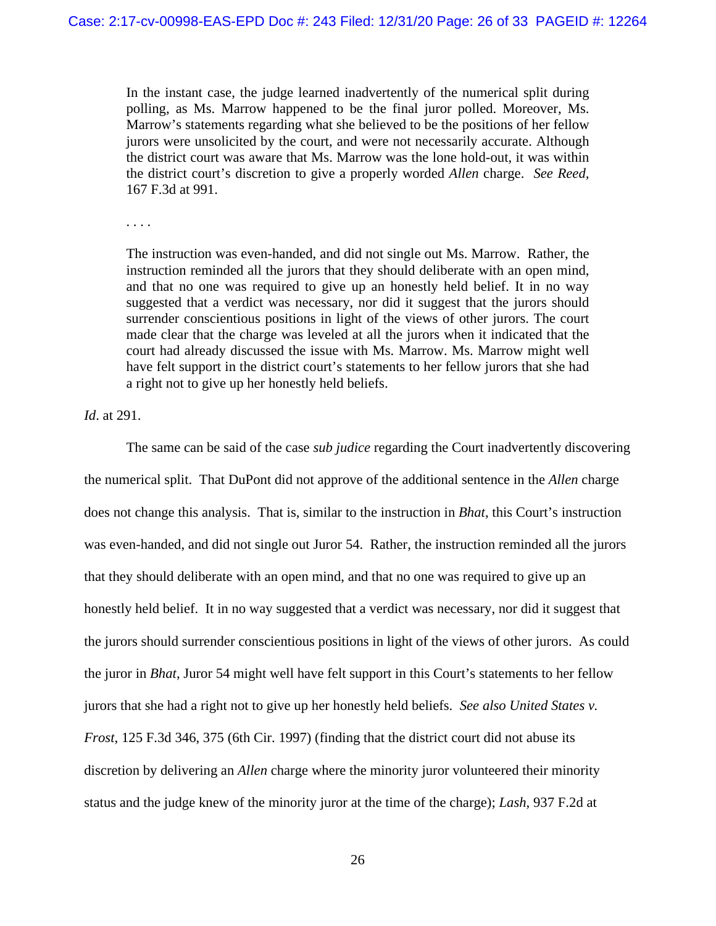In the instant case, the judge learned inadvertently of the numerical split during polling, as Ms. Marrow happened to be the final juror polled. Moreover, Ms. Marrow's statements regarding what she believed to be the positions of her fellow jurors were unsolicited by the court, and were not necessarily accurate. Although the district court was aware that Ms. Marrow was the lone hold-out, it was within the district court's discretion to give a properly worded *Allen* charge. *See Reed,* 167 F.3d at 991.

. . . .

The instruction was even-handed, and did not single out Ms. Marrow. Rather, the instruction reminded all the jurors that they should deliberate with an open mind, and that no one was required to give up an honestly held belief. It in no way suggested that a verdict was necessary, nor did it suggest that the jurors should surrender conscientious positions in light of the views of other jurors. The court made clear that the charge was leveled at all the jurors when it indicated that the court had already discussed the issue with Ms. Marrow. Ms. Marrow might well have felt support in the district court's statements to her fellow jurors that she had a right not to give up her honestly held beliefs.

*Id*. at 291.

The same can be said of the case *sub judice* regarding the Court inadvertently discovering the numerical split. That DuPont did not approve of the additional sentence in the *Allen* charge does not change this analysis. That is, similar to the instruction in *Bhat*, this Court's instruction was even-handed, and did not single out Juror 54. Rather, the instruction reminded all the jurors that they should deliberate with an open mind, and that no one was required to give up an honestly held belief. It in no way suggested that a verdict was necessary, nor did it suggest that the jurors should surrender conscientious positions in light of the views of other jurors. As could the juror in *Bhat*, Juror 54 might well have felt support in this Court's statements to her fellow jurors that she had a right not to give up her honestly held beliefs. *See also United States v. Frost*, 125 F.3d 346, 375 (6th Cir. 1997) (finding that the district court did not abuse its discretion by delivering an *Allen* charge where the minority juror volunteered their minority status and the judge knew of the minority juror at the time of the charge); *Lash*, 937 F.2d at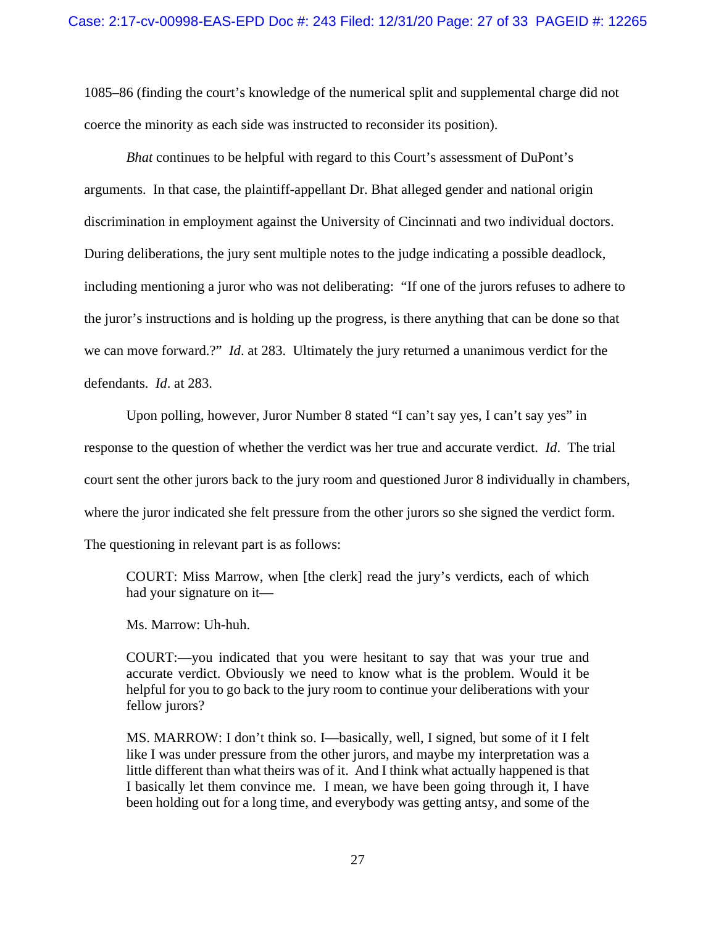1085–86 (finding the court's knowledge of the numerical split and supplemental charge did not coerce the minority as each side was instructed to reconsider its position).

*Bhat* continues to be helpful with regard to this Court's assessment of DuPont's arguments. In that case, the plaintiff-appellant Dr. Bhat alleged gender and national origin discrimination in employment against the University of Cincinnati and two individual doctors. During deliberations, the jury sent multiple notes to the judge indicating a possible deadlock, including mentioning a juror who was not deliberating: "If one of the jurors refuses to adhere to the juror's instructions and is holding up the progress, is there anything that can be done so that we can move forward.?" *Id*. at 283. Ultimately the jury returned a unanimous verdict for the defendants. *Id*. at 283.

Upon polling, however, Juror Number 8 stated "I can't say yes, I can't say yes" in response to the question of whether the verdict was her true and accurate verdict. *Id*. The trial court sent the other jurors back to the jury room and questioned Juror 8 individually in chambers, where the juror indicated she felt pressure from the other jurors so she signed the verdict form. The questioning in relevant part is as follows:

COURT: Miss Marrow, when [the clerk] read the jury's verdicts, each of which had your signature on it—

Ms. Marrow: Uh-huh.

COURT:—you indicated that you were hesitant to say that was your true and accurate verdict. Obviously we need to know what is the problem. Would it be helpful for you to go back to the jury room to continue your deliberations with your fellow jurors?

MS. MARROW: I don't think so. I—basically, well, I signed, but some of it I felt like I was under pressure from the other jurors, and maybe my interpretation was a little different than what theirs was of it. And I think what actually happened is that I basically let them convince me. I mean, we have been going through it, I have been holding out for a long time, and everybody was getting antsy, and some of the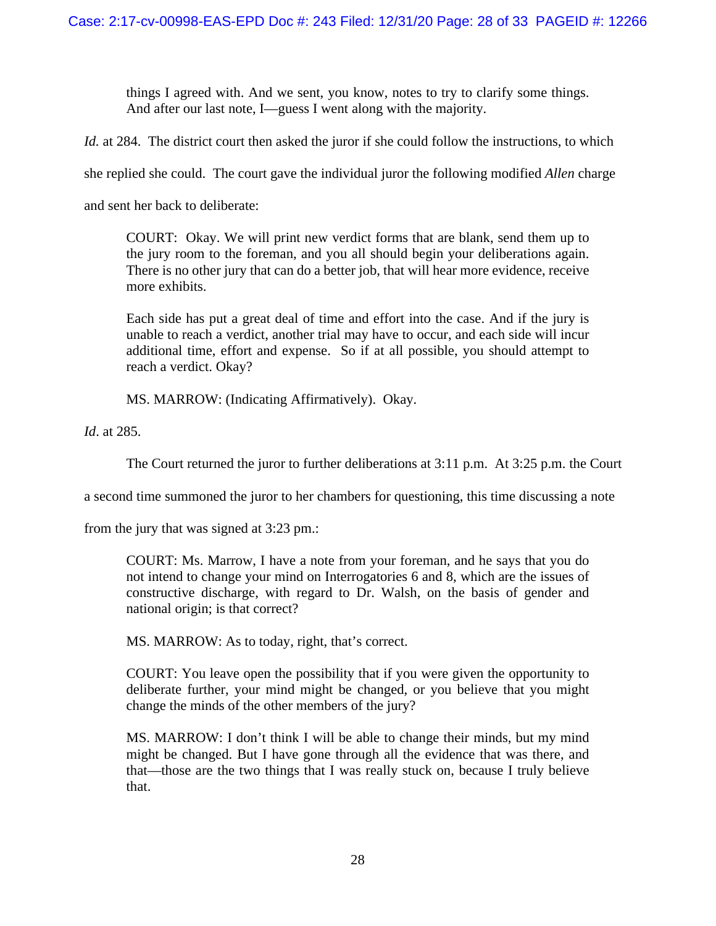things I agreed with. And we sent, you know, notes to try to clarify some things. And after our last note, I—guess I went along with the majority.

*Id.* at 284. The district court then asked the juror if she could follow the instructions, to which

she replied she could. The court gave the individual juror the following modified *Allen* charge

and sent her back to deliberate:

COURT: Okay. We will print new verdict forms that are blank, send them up to the jury room to the foreman, and you all should begin your deliberations again. There is no other jury that can do a better job, that will hear more evidence, receive more exhibits.

Each side has put a great deal of time and effort into the case. And if the jury is unable to reach a verdict, another trial may have to occur, and each side will incur additional time, effort and expense. So if at all possible, you should attempt to reach a verdict. Okay?

MS. MARROW: (Indicating Affirmatively). Okay.

*Id*. at 285.

The Court returned the juror to further deliberations at 3:11 p.m. At 3:25 p.m. the Court

a second time summoned the juror to her chambers for questioning, this time discussing a note

from the jury that was signed at 3:23 pm.:

COURT: Ms. Marrow, I have a note from your foreman, and he says that you do not intend to change your mind on Interrogatories 6 and 8, which are the issues of constructive discharge, with regard to Dr. Walsh, on the basis of gender and national origin; is that correct?

MS. MARROW: As to today, right, that's correct.

COURT: You leave open the possibility that if you were given the opportunity to deliberate further, your mind might be changed, or you believe that you might change the minds of the other members of the jury?

MS. MARROW: I don't think I will be able to change their minds, but my mind might be changed. But I have gone through all the evidence that was there, and that—those are the two things that I was really stuck on, because I truly believe that.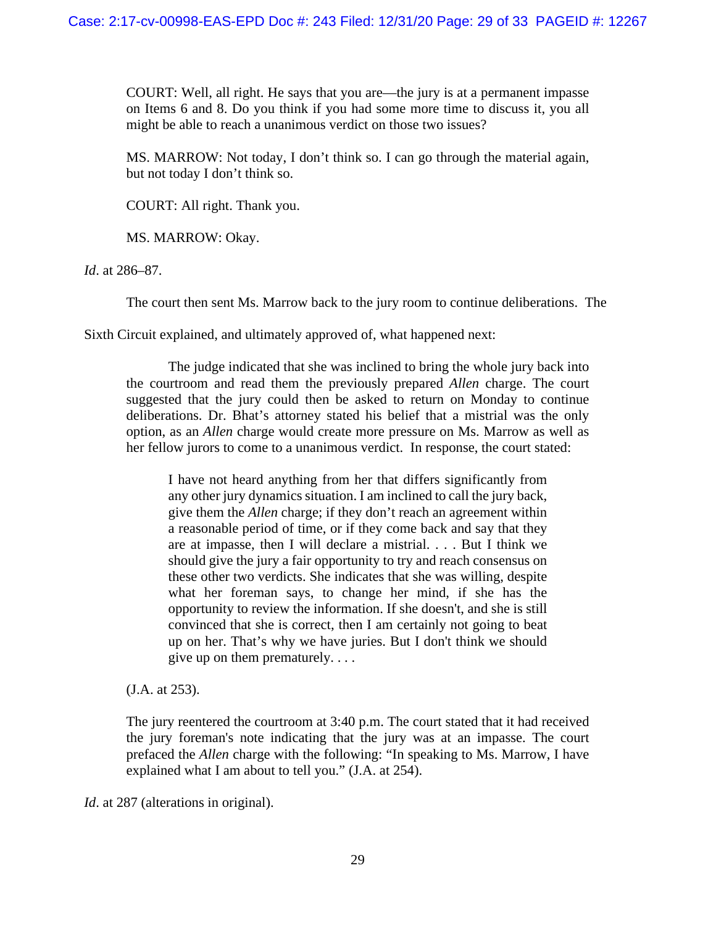COURT: Well, all right. He says that you are—the jury is at a permanent impasse on Items 6 and 8. Do you think if you had some more time to discuss it, you all might be able to reach a unanimous verdict on those two issues?

MS. MARROW: Not today, I don't think so. I can go through the material again, but not today I don't think so.

COURT: All right. Thank you.

MS. MARROW: Okay.

*Id*. at 286–87.

The court then sent Ms. Marrow back to the jury room to continue deliberations. The

Sixth Circuit explained, and ultimately approved of, what happened next:

The judge indicated that she was inclined to bring the whole jury back into the courtroom and read them the previously prepared *Allen* charge. The court suggested that the jury could then be asked to return on Monday to continue deliberations. Dr. Bhat's attorney stated his belief that a mistrial was the only option, as an *Allen* charge would create more pressure on Ms. Marrow as well as her fellow jurors to come to a unanimous verdict. In response, the court stated:

I have not heard anything from her that differs significantly from any other jury dynamics situation. I am inclined to call the jury back, give them the *Allen* charge; if they don't reach an agreement within a reasonable period of time, or if they come back and say that they are at impasse, then I will declare a mistrial. . . . But I think we should give the jury a fair opportunity to try and reach consensus on these other two verdicts. She indicates that she was willing, despite what her foreman says, to change her mind, if she has the opportunity to review the information. If she doesn't, and she is still convinced that she is correct, then I am certainly not going to beat up on her. That's why we have juries. But I don't think we should give up on them prematurely. . . .

(J.A. at 253).

The jury reentered the courtroom at 3:40 p.m. The court stated that it had received the jury foreman's note indicating that the jury was at an impasse. The court prefaced the *Allen* charge with the following: "In speaking to Ms. Marrow, I have explained what I am about to tell you." (J.A. at 254).

*Id.* at 287 (alterations in original).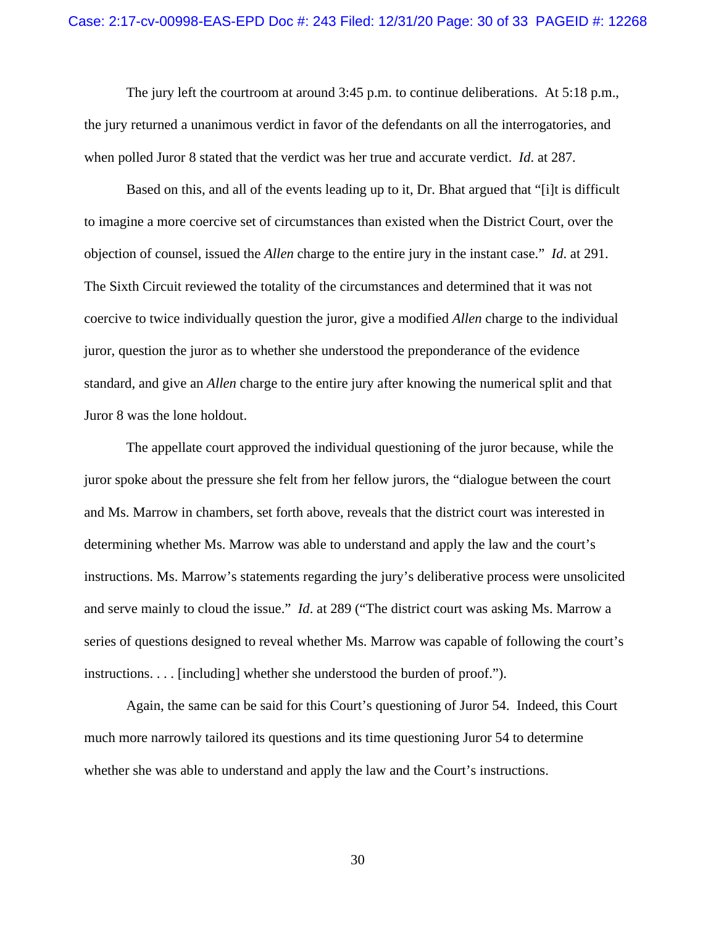The jury left the courtroom at around 3:45 p.m. to continue deliberations. At 5:18 p.m., the jury returned a unanimous verdict in favor of the defendants on all the interrogatories, and when polled Juror 8 stated that the verdict was her true and accurate verdict. *Id*. at 287.

Based on this, and all of the events leading up to it, Dr. Bhat argued that "[i]t is difficult to imagine a more coercive set of circumstances than existed when the District Court, over the objection of counsel, issued the *Allen* charge to the entire jury in the instant case." *Id*. at 291. The Sixth Circuit reviewed the totality of the circumstances and determined that it was not coercive to twice individually question the juror, give a modified *Allen* charge to the individual juror, question the juror as to whether she understood the preponderance of the evidence standard, and give an *Allen* charge to the entire jury after knowing the numerical split and that Juror 8 was the lone holdout.

The appellate court approved the individual questioning of the juror because, while the juror spoke about the pressure she felt from her fellow jurors, the "dialogue between the court and Ms. Marrow in chambers, set forth above, reveals that the district court was interested in determining whether Ms. Marrow was able to understand and apply the law and the court's instructions. Ms. Marrow's statements regarding the jury's deliberative process were unsolicited and serve mainly to cloud the issue." *Id*. at 289 ("The district court was asking Ms. Marrow a series of questions designed to reveal whether Ms. Marrow was capable of following the court's instructions. . . . [including] whether she understood the burden of proof.").

Again, the same can be said for this Court's questioning of Juror 54. Indeed, this Court much more narrowly tailored its questions and its time questioning Juror 54 to determine whether she was able to understand and apply the law and the Court's instructions.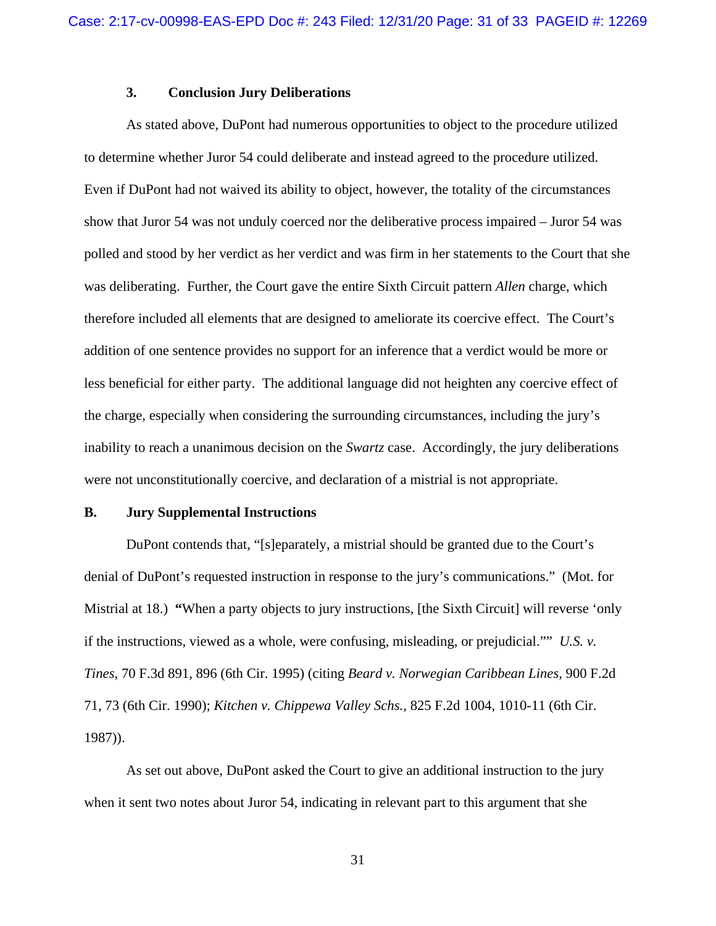## **3. Conclusion Jury Deliberations**

As stated above, DuPont had numerous opportunities to object to the procedure utilized to determine whether Juror 54 could deliberate and instead agreed to the procedure utilized. Even if DuPont had not waived its ability to object, however, the totality of the circumstances show that Juror 54 was not unduly coerced nor the deliberative process impaired – Juror 54 was polled and stood by her verdict as her verdict and was firm in her statements to the Court that she was deliberating. Further, the Court gave the entire Sixth Circuit pattern *Allen* charge, which therefore included all elements that are designed to ameliorate its coercive effect. The Court's addition of one sentence provides no support for an inference that a verdict would be more or less beneficial for either party. The additional language did not heighten any coercive effect of the charge, especially when considering the surrounding circumstances, including the jury's inability to reach a unanimous decision on the *Swartz* case. Accordingly, the jury deliberations were not unconstitutionally coercive, and declaration of a mistrial is not appropriate.

#### **B. Jury Supplemental Instructions**

DuPont contends that, "[s]eparately, a mistrial should be granted due to the Court's denial of DuPont's requested instruction in response to the jury's communications." (Mot. for Mistrial at 18.) **"**When a party objects to jury instructions, [the Sixth Circuit] will reverse 'only if the instructions, viewed as a whole, were confusing, misleading, or prejudicial."" *U.S. v. Tines*, 70 F.3d 891, 896 (6th Cir. 1995) (citing *Beard v. Norwegian Caribbean Lines,* 900 F.2d 71, 73 (6th Cir. 1990); *Kitchen v. Chippewa Valley Schs.,* 825 F.2d 1004, 1010-11 (6th Cir. 1987)).

As set out above, DuPont asked the Court to give an additional instruction to the jury when it sent two notes about Juror 54, indicating in relevant part to this argument that she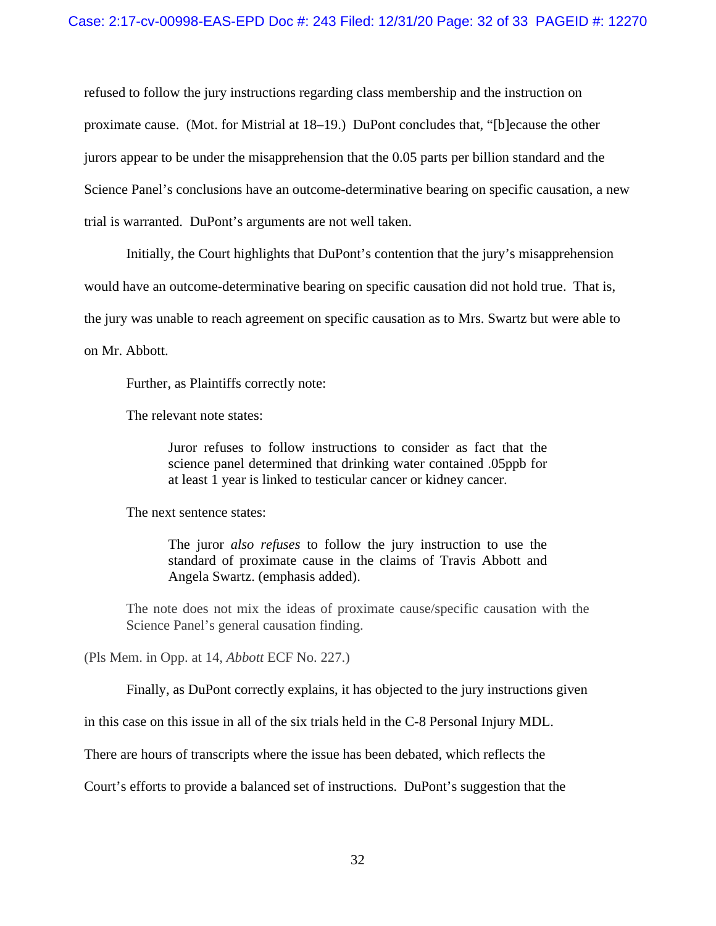refused to follow the jury instructions regarding class membership and the instruction on proximate cause. (Mot. for Mistrial at 18–19.) DuPont concludes that, "[b]ecause the other jurors appear to be under the misapprehension that the 0.05 parts per billion standard and the Science Panel's conclusions have an outcome-determinative bearing on specific causation, a new trial is warranted. DuPont's arguments are not well taken.

Initially, the Court highlights that DuPont's contention that the jury's misapprehension would have an outcome-determinative bearing on specific causation did not hold true. That is, the jury was unable to reach agreement on specific causation as to Mrs. Swartz but were able to on Mr. Abbott.

Further, as Plaintiffs correctly note:

The relevant note states:

Juror refuses to follow instructions to consider as fact that the science panel determined that drinking water contained .05ppb for at least 1 year is linked to testicular cancer or kidney cancer.

The next sentence states:

The juror *also refuses* to follow the jury instruction to use the standard of proximate cause in the claims of Travis Abbott and Angela Swartz. (emphasis added).

The note does not mix the ideas of proximate cause/specific causation with the Science Panel's general causation finding.

(Pls Mem. in Opp. at 14, *Abbott* ECF No. 227.)

Finally, as DuPont correctly explains, it has objected to the jury instructions given

in this case on this issue in all of the six trials held in the C-8 Personal Injury MDL.

There are hours of transcripts where the issue has been debated, which reflects the

Court's efforts to provide a balanced set of instructions. DuPont's suggestion that the